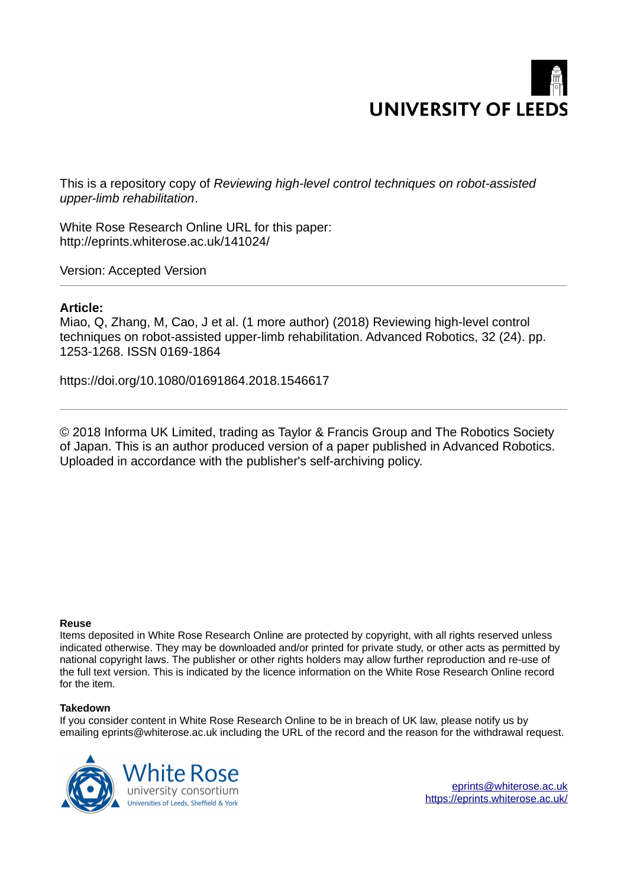

This is a repository copy of *Reviewing high-level control techniques on robot-assisted upper-limb rehabilitation*.

White Rose Research Online URL for this paper: http://eprints.whiterose.ac.uk/141024/

Version: Accepted Version

#### **Article:**

Miao, Q, Zhang, M, Cao, J et al. (1 more author) (2018) Reviewing high-level control techniques on robot-assisted upper-limb rehabilitation. Advanced Robotics, 32 (24). pp. 1253-1268. ISSN 0169-1864

https://doi.org/10.1080/01691864.2018.1546617

© 2018 Informa UK Limited, trading as Taylor & Francis Group and The Robotics Society of Japan. This is an author produced version of a paper published in Advanced Robotics. Uploaded in accordance with the publisher's self-archiving policy.

#### **Reuse**

Items deposited in White Rose Research Online are protected by copyright, with all rights reserved unless indicated otherwise. They may be downloaded and/or printed for private study, or other acts as permitted by national copyright laws. The publisher or other rights holders may allow further reproduction and re-use of the full text version. This is indicated by the licence information on the White Rose Research Online record for the item.

#### **Takedown**

If you consider content in White Rose Research Online to be in breach of UK law, please notify us by emailing eprints@whiterose.ac.uk including the URL of the record and the reason for the withdrawal request.

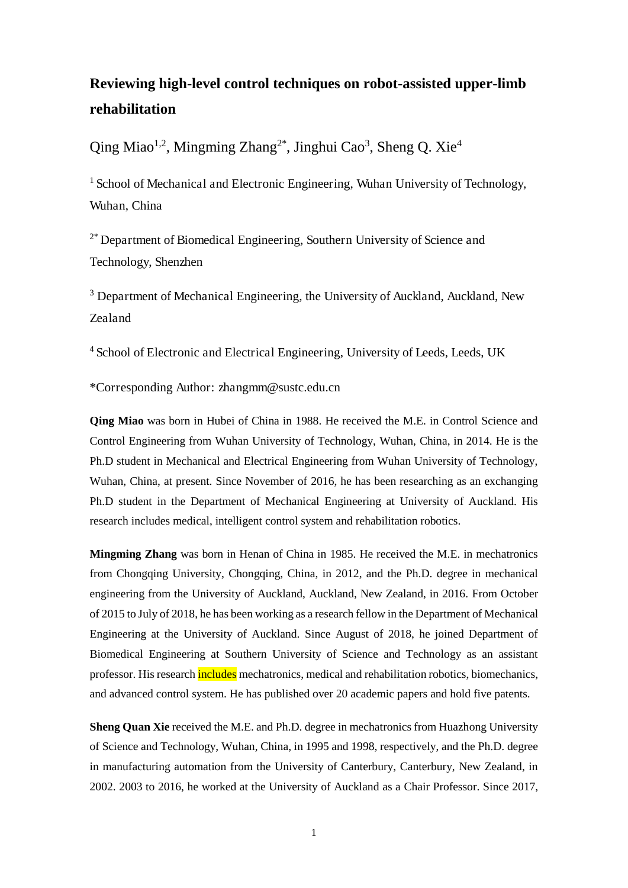## **Reviewing high-level control techniques on robot-assisted upper-limb rehabilitation**

Qing Miao<sup>1,2</sup>, Mingming Zhang<sup>2\*</sup>, Jinghui Cao<sup>3</sup>, Sheng Q. Xie<sup>4</sup>

<sup>1</sup> School of Mechanical and Electronic Engineering, Wuhan University of Technology, Wuhan, China

<sup>2\*</sup> Department of Biomedical Engineering, Southern University of Science and Technology, Shenzhen

<sup>3</sup> Department of Mechanical Engineering, the University of Auckland, Auckland, New Zealand

<sup>4</sup> School of Electronic and Electrical Engineering, University of Leeds, Leeds, UK

\*Corresponding Author: zhangmm@sustc.edu.cn

**Qing Miao** was born in Hubei of China in 1988. He received the M.E. in Control Science and Control Engineering from Wuhan University of Technology, Wuhan, China, in 2014. He is the Ph.D student in Mechanical and Electrical Engineering from Wuhan University of Technology, Wuhan, China, at present. Since November of 2016, he has been researching as an exchanging Ph.D student in the Department of Mechanical Engineering at University of Auckland. His research includes medical, intelligent control system and rehabilitation robotics.

**Mingming Zhang** was born in Henan of China in 1985. He received the M.E. in mechatronics from Chongqing University, Chongqing, China, in 2012, and the Ph.D. degree in mechanical engineering from the University of Auckland, Auckland, New Zealand, in 2016. From October of 2015 to July of 2018, he has been working as a research fellow in the Department of Mechanical Engineering at the University of Auckland. Since August of 2018, he joined Department of Biomedical Engineering at Southern University of Science and Technology as an assistant professor. His research *includes* mechatronics, medical and rehabilitation robotics, biomechanics, and advanced control system. He has published over 20 academic papers and hold five patents.

**Sheng Quan Xie** received the M.E. and Ph.D. degree in mechatronics from Huazhong University of Science and Technology, Wuhan, China, in 1995 and 1998, respectively, and the Ph.D. degree in manufacturing automation from the University of Canterbury, Canterbury, New Zealand, in 2002. 2003 to 2016, he worked at the University of Auckland as a Chair Professor. Since 2017,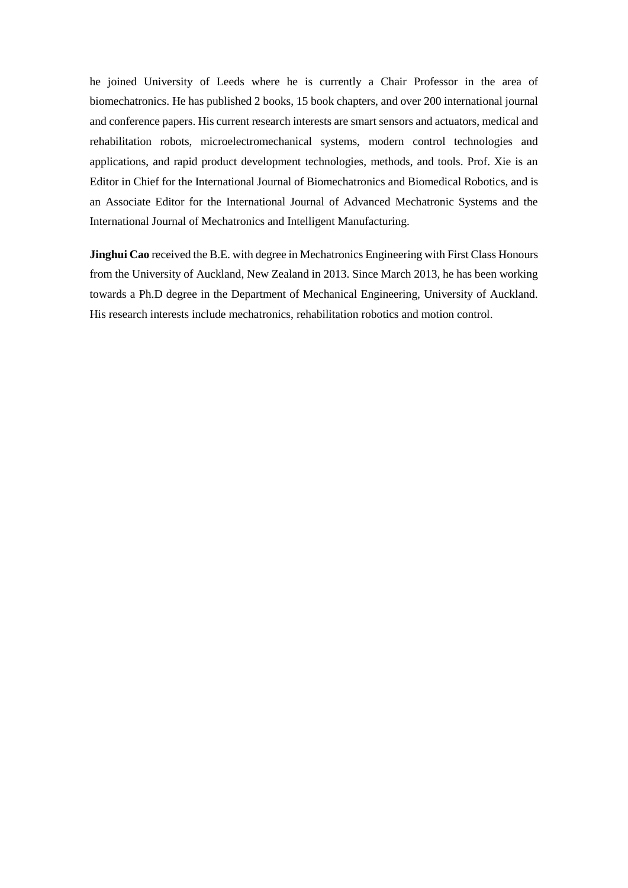he joined University of Leeds where he is currently a Chair Professor in the area of biomechatronics. He has published 2 books, 15 book chapters, and over 200 international journal and conference papers. His current research interests are smart sensors and actuators, medical and rehabilitation robots, microelectromechanical systems, modern control technologies and applications, and rapid product development technologies, methods, and tools. Prof. Xie is an Editor in Chief for the International Journal of Biomechatronics and Biomedical Robotics, and is an Associate Editor for the International Journal of Advanced Mechatronic Systems and the International Journal of Mechatronics and Intelligent Manufacturing.

**Jinghui Cao** received the B.E. with degree in Mechatronics Engineering with First Class Honours from the University of Auckland, New Zealand in 2013. Since March 2013, he has been working towards a Ph.D degree in the Department of Mechanical Engineering, University of Auckland. His research interests include mechatronics, rehabilitation robotics and motion control.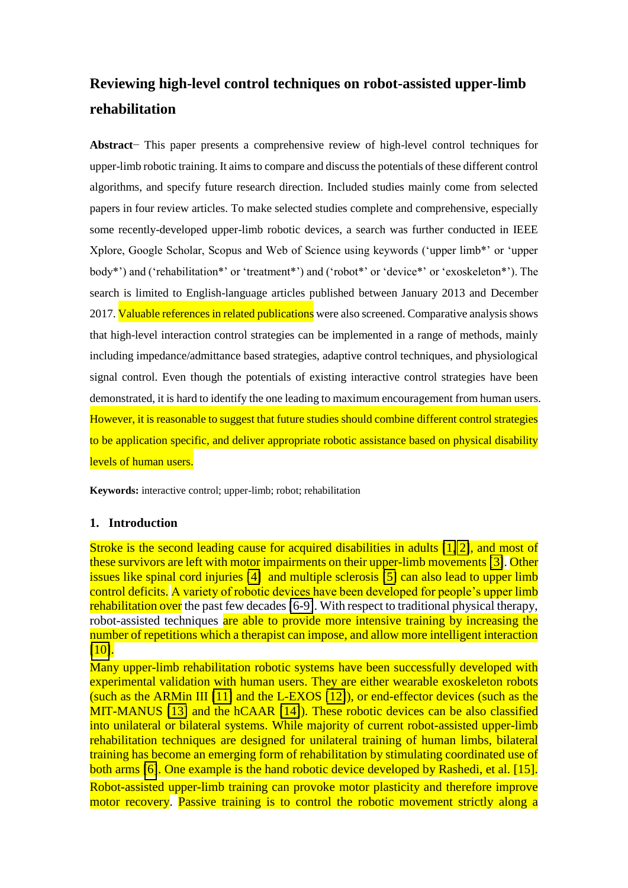# **Reviewing high-level control techniques on robot-assisted upper-limb rehabilitation**

**Abstract**− This paper presents a comprehensive review of high-level control techniques for upper-limb robotic training. It aims to compare and discuss the potentials of these different control algorithms, and specify future research direction. Included studies mainly come from selected papers in four review articles. To make selected studies complete and comprehensive, especially some recently-developed upper-limb robotic devices, a search was further conducted in IEEE Xplore, Google Scholar, Scopus and Web of Science using keywords ('upper limb\*' or 'upper body\*') and ('rehabilitation\*' or 'treatment\*') and ('robot\*' or 'device\*' or 'exoskeleton\*'). The search is limited to English-language articles published between January 2013 and December 2017. Valuable references in related publications were also screened. Comparative analysis shows that high-level interaction control strategies can be implemented in a range of methods, mainly including impedance/admittance based strategies, adaptive control techniques, and physiological signal control. Even though the potentials of existing interactive control strategies have been demonstrated, it is hard to identify the one leading to maximum encouragement from human users. However, it is reasonable to suggest that future studies should combine different control strategies to be application specific, and deliver appropriate robotic assistance based on physical disability levels of human users.

**Keywords:** interactive control; upper-limb; robot; rehabilitation

#### **1. Introduction**

Stroke is the second leading cause for acquired disabilities in adults [\[1,](#page-13-0) [2\]](#page-13-1), and most of these survivors are left with motor impairments on their upper-limb movements [\[3\]](#page-13-2). Other issues like spinal cord injuries [\[4\]](#page-13-3) and multiple sclerosis [\[5\]](#page-13-4) can also lead to upper limb control deficits. A variety of robotic devices have been developed for people's upper limb rehabilitation over the past few decades [\[6-9\]](#page-13-5). With respect to traditional physical therapy, robot-assisted techniques are able to provide more intensive training by increasing the number of repetitions which a therapist can impose, and allow more intelligent interaction [\[10\]](#page-13-6).

Many upper-limb rehabilitation robotic systems have been successfully developed with experimental validation with human users. They are either wearable exoskeleton robots (such as the ARMin III [\[11\]](#page-13-7) and the L-EXOS [\[12\]](#page-13-8)), or end-effector devices (such as the MIT-MANUS [\[13\]](#page-13-9) and the hCAAR [\[14\]](#page-13-10)). These robotic devices can be also classified into unilateral or bilateral systems. While majority of current robot-assisted upper-limb rehabilitation techniques are designed for unilateral training of human limbs, bilateral training has become an emerging form of rehabilitation by stimulating coordinated use of both arms [\[6\]](#page-13-5). One example is the hand robotic device developed by Rashedi, et al. [15].

Robot-assisted upper-limb training can provoke motor plasticity and therefore improve motor recovery. Passive training is to control the robotic movement strictly along a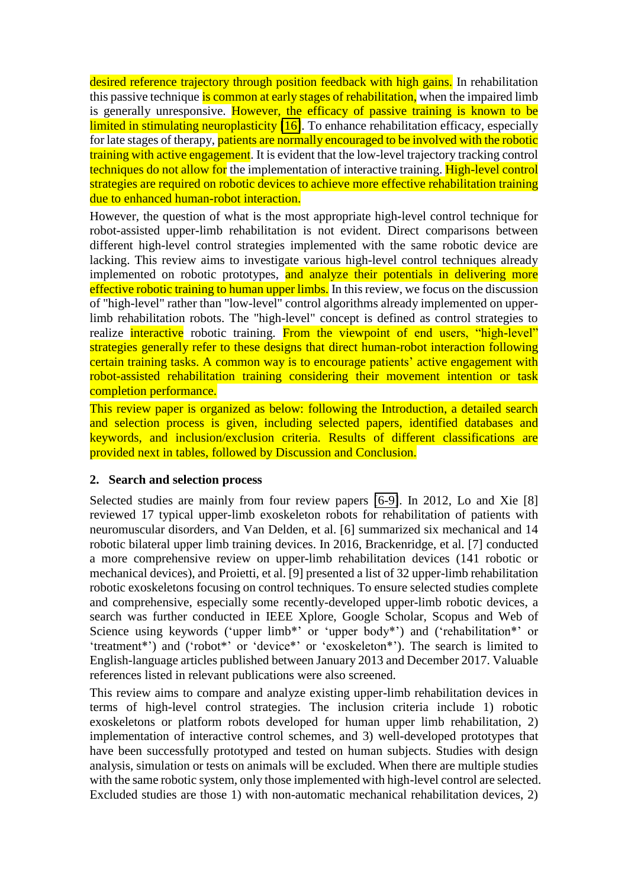desired reference trajectory through position feedback with high gains. In rehabilitation this passive technique is common at early stages of rehabilitation, when the impaired limb is generally unresponsive. However, the efficacy of passive training is known to be limited in stimulating neuroplasticity [\[16\]](#page-13-11). To enhance rehabilitation efficacy, especially for late stages of therapy, patients are normally encouraged to be involved with the robotic training with active engagement. It is evident that the low-level trajectory tracking control techniques do not allow for the implementation of interactive training. High-level control strategies are required on robotic devices to achieve more effective rehabilitation training due to enhanced human-robot interaction.

However, the question of what is the most appropriate high-level control technique for robot-assisted upper-limb rehabilitation is not evident. Direct comparisons between different high-level control strategies implemented with the same robotic device are lacking. This review aims to investigate various high-level control techniques already implemented on robotic prototypes. and analyze their potentials in delivering more effective robotic training to human upper limbs. In this review, we focus on the discussion of "high-level" rather than "low-level" control algorithms already implemented on upperlimb rehabilitation robots. The "high-level" concept is defined as control strategies to realize **interactive** robotic training. From the viewpoint of end users, "high-level" strategies generally refer to these designs that direct human-robot interaction following certain training tasks. A common way is to encourage patients' active engagement with robot-assisted rehabilitation training considering their movement intention or task completion performance.

This review paper is organized as below: following the Introduction, a detailed search and selection process is given, including selected papers, identified databases and keywords, and inclusion/exclusion criteria. Results of different classifications are provided next in tables, followed by Discussion and Conclusion.

#### **2. Search and selection process**

Selected studies are mainly from four review papers [\[6-9\]](#page-13-5). In 2012, Lo and Xie [8] reviewed 17 typical upper-limb exoskeleton robots for rehabilitation of patients with neuromuscular disorders, and Van Delden, et al. [6] summarized six mechanical and 14 robotic bilateral upper limb training devices. In 2016, Brackenridge, et al. [7] conducted a more comprehensive review on upper-limb rehabilitation devices (141 robotic or mechanical devices), and Proietti, et al. [9] presented a list of 32 upper-limb rehabilitation robotic exoskeletons focusing on control techniques. To ensure selected studies complete and comprehensive, especially some recently-developed upper-limb robotic devices, a search was further conducted in IEEE Xplore, Google Scholar, Scopus and Web of Science using keywords ('upper limb\*' or 'upper body\*') and ('rehabilitation\*' or 'treatment\*') and ('robot\*' or 'device\*' or 'exoskeleton\*'). The search is limited to English-language articles published between January 2013 and December 2017. Valuable references listed in relevant publications were also screened.

This review aims to compare and analyze existing upper-limb rehabilitation devices in terms of high-level control strategies. The inclusion criteria include 1) robotic exoskeletons or platform robots developed for human upper limb rehabilitation, 2) implementation of interactive control schemes, and 3) well-developed prototypes that have been successfully prototyped and tested on human subjects. Studies with design analysis, simulation or tests on animals will be excluded. When there are multiple studies with the same robotic system, only those implemented with high-level control are selected. Excluded studies are those 1) with non-automatic mechanical rehabilitation devices, 2)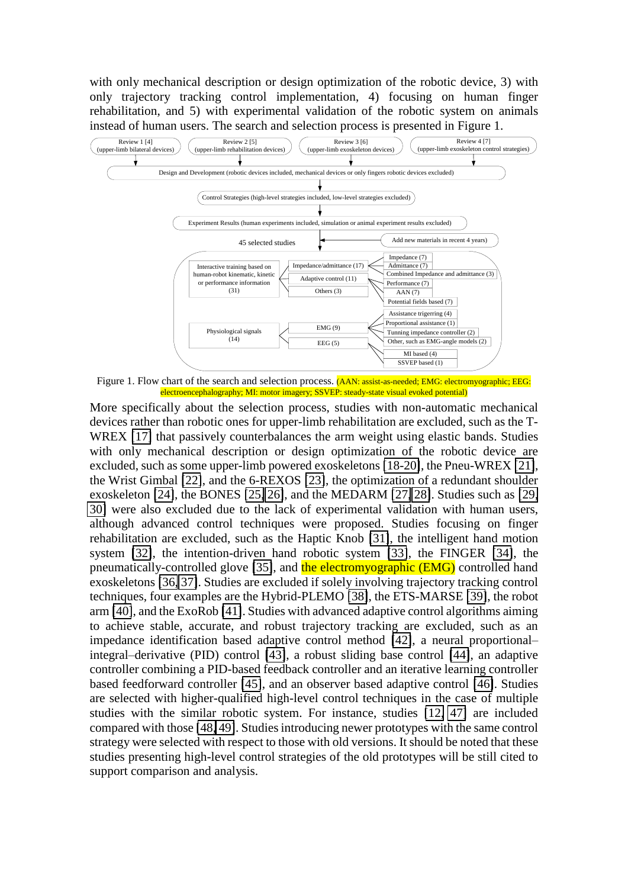with only mechanical description or design optimization of the robotic device, 3) with only trajectory tracking control implementation, 4) focusing on human finger rehabilitation, and 5) with experimental validation of the robotic system on animals instead of human users. The search and selection process is presented in Figure 1.



Figure 1. Flow chart of the search and selection process. (AAN: assist-as-needed; EMG: electromyographic; EEG: electroencephalography; MI: motor imagery; SSVEP: steady-state visual evoked potential)

More specifically about the selection process, studies with non-automatic mechanical devices rather than robotic ones for upper-limb rehabilitation are excluded, such as the T-WREX [\[17\]](#page-13-12) that passively counterbalances the arm weight using elastic bands. Studies with only mechanical description or design optimization of the robotic device are excluded, such as some upper-limb powered exoskeletons [\[18-20\]](#page-13-13), the Pneu-WREX [\[21\]](#page-14-0), the Wrist Gimbal [\[22\]](#page-14-1), and the 6-REXOS [\[23\]](#page-14-2), the optimization of a redundant shoulder exoskeleton [\[24\]](#page-14-3), the BONES [\[25,](#page-14-4) [26\]](#page-14-5), and the MEDARM [\[27,](#page-14-6) [28\]](#page-14-7). Studies such as [\[29,](#page-14-8) [30\]](#page-14-9) were also excluded due to the lack of experimental validation with human users, although advanced control techniques were proposed. Studies focusing on finger rehabilitation are excluded, such as the Haptic Knob [\[31\]](#page-14-10), the intelligent hand motion system [\[32\]](#page-14-11), the intention-driven hand robotic system [\[33\]](#page-14-12), the FINGER [\[34\]](#page-14-13), the pneumatically-controlled glove [\[35\]](#page-14-14), and the electromyographic (EMG) controlled hand exoskeletons [\[36,](#page-14-15) [37\]](#page-14-16). Studies are excluded if solely involving trajectory tracking control techniques, four examples are the Hybrid-PLEMO [\[38\]](#page-14-17), the ETS-MARSE [\[39\]](#page-14-18), the robot arm [\[40\]](#page-15-0), and the ExoRob [\[41\]](#page-15-1). Studies with advanced adaptive control algorithms aiming to achieve stable, accurate, and robust trajectory tracking are excluded, such as an impedance identification based adaptive control method [\[42\]](#page-15-2), a neural proportional– integral–derivative (PID) control [\[43\]](#page-15-3), a robust sliding base control [\[44\]](#page-15-4), an adaptive controller combining a PID-based feedback controller and an iterative learning controller based feedforward controller [\[45\]](#page-15-5), and an observer based adaptive control [\[46\]](#page-15-6). Studies are selected with higher-qualified high-level control techniques in the case of multiple studies with the similar robotic system. For instance, studies [\[12,](#page-13-8) [47\]](#page-15-7) are included compared with those [\[48,](#page-15-8) [49\]](#page-15-9). Studies introducing newer prototypes with the same control strategy were selected with respect to those with old versions. It should be noted that these studies presenting high-level control strategies of the old prototypes will be still cited to support comparison and analysis.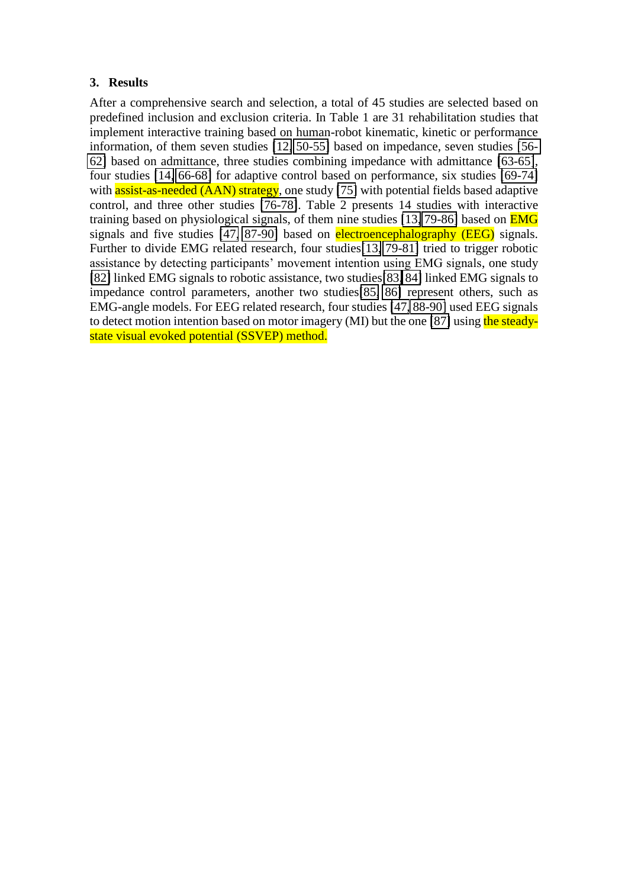### **3. Results**

After a comprehensive search and selection, a total of 45 studies are selected based on predefined inclusion and exclusion criteria. In Table 1 are 31 rehabilitation studies that implement interactive training based on human-robot kinematic, kinetic or performance information, of them seven studies [\[12,](#page-13-8) [50-55\]](#page-15-10) based on impedance, seven studies [\[56-](#page-15-11) [62\]](#page-15-11) based on admittance, three studies combining impedance with admittance [\[63-65\]](#page-16-0), four studies [\[14,](#page-13-10) [66-68\]](#page-16-1) for adaptive control based on performance, six studies [\[69-74\]](#page-16-2) with **assist-as-needed (AAN) strategy**, one study [\[75\]](#page-16-3) with potential fields based adaptive control, and three other studies [\[76-78\]](#page-16-4). Table 2 presents 14 studies with interactive training based on physiological signals, of them nine studies [\[13,](#page-13-9) [79-86\]](#page-16-5) based on **EMG** signals and five studies [\[47,](#page-15-7) [87-90\]](#page-17-0) based on **electroencephalography (EEG)** signals. Further to divide EMG related research, four studies [\[13,](#page-13-9) [79-81\]](#page-16-5) tried to trigger robotic assistance by detecting participants' movement intention using EMG signals, one study [\[82\]](#page-17-1) linked EMG signals to robotic assistance, two studies[\[83,](#page-17-2) [84\]](#page-17-3) linked EMG signals to impedance control parameters, another two studies[\[85,](#page-17-4) [86\]](#page-17-5) represent others, such as EMG-angle models. For EEG related research, four studies [\[47,](#page-15-7) [88-90\]](#page-17-6) used EEG signals to detect motion intention based on motor imagery (MI) but the one [\[87\]](#page-17-0) using the steadystate visual evoked potential (SSVEP) method.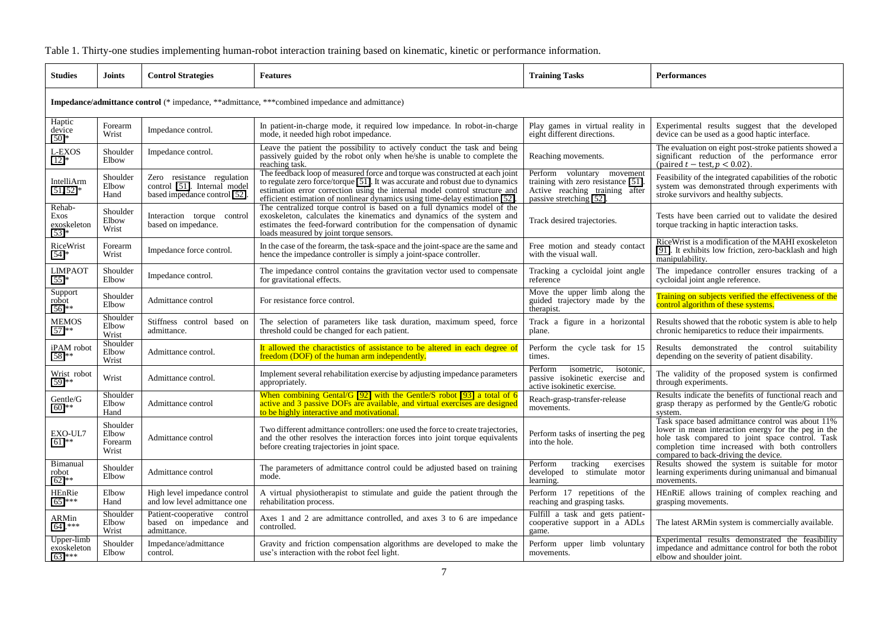#### Table 1. Thirty-one studies implementing human-robot interaction training based on kinematic, kinetic or performance information.

| <b>Studies</b>                                                                                        | Joints                                | <b>Control Strategies</b>                                                                   | <b>Features</b>                                                                                                                                                                                                                                                                                                              | <b>Training Tasks</b>                                                                                                          | <b>Performances</b>                                                                                                                                                                                                                                    |  |  |
|-------------------------------------------------------------------------------------------------------|---------------------------------------|---------------------------------------------------------------------------------------------|------------------------------------------------------------------------------------------------------------------------------------------------------------------------------------------------------------------------------------------------------------------------------------------------------------------------------|--------------------------------------------------------------------------------------------------------------------------------|--------------------------------------------------------------------------------------------------------------------------------------------------------------------------------------------------------------------------------------------------------|--|--|
| <b>Impedance/admittance control</b> (* impedance, ***dmittance, ***combined impedance and admittance) |                                       |                                                                                             |                                                                                                                                                                                                                                                                                                                              |                                                                                                                                |                                                                                                                                                                                                                                                        |  |  |
| Haptic<br>device<br>$[50]$ *                                                                          | Forearm<br>Wrist                      | Impedance control.                                                                          | In patient-in-charge mode, it required low impedance. In robot-in-charge<br>mode, it needed high robot impedance.                                                                                                                                                                                                            | Play games in virtual reality in<br>eight different directions.                                                                | Experimental results suggest that the developed<br>device can be used as a good haptic interface.                                                                                                                                                      |  |  |
| L-EXOS<br>$[12]*$                                                                                     | Shoulder<br>Elbow                     | Impedance control.                                                                          | Leave the patient the possibility to actively conduct the task and being passively guided by the robot only when he/she is unable to complete the<br>reaching task.                                                                                                                                                          | Reaching movements.                                                                                                            | The evaluation on eight post-stroke patients showed a<br>significant reduction of the performance error<br>(paired $t - \text{test}, p < 0.02$ ).                                                                                                      |  |  |
| IntelliArm<br>$[51, 52]$ *                                                                            | Shoulder<br>Elbow<br>Hand             | Zero resistance regulation<br>control [51]. Internal model<br>based impedance control [52]. | The feedback loop of measured force and torque was constructed at each joint<br>to regulate zero force/torque [51]. It was accurate and robust due to dynamics<br>estimation error correction using the internal model control structure and<br>efficient estimation of nonlinear dynamics using time-delay estimation [52]. | Perform voluntary movement<br>training with zero resistance [51]<br>Active reaching training after<br>passive stretching [52]. | Feasibility of the integrated capabilities of the robotic<br>system was demonstrated through experiments with<br>stroke survivors and healthy subjects.                                                                                                |  |  |
| Rehab-<br>Exos<br>exoskeleton<br>$[53]*$                                                              | Shoulder<br>Elbow<br>Wrist            | Interaction torque control<br>based on impedance.                                           | The centralized torque control is based on a full dynamics model of the<br>exoskeleton, calculates the kinematics and dynamics of the system and<br>estimates the feed-forward contribution for the compensation of dynamic<br>loads measured by joint torque sensors.                                                       | Track desired trajectories.                                                                                                    | Tests have been carried out to validate the desired<br>torque tracking in haptic interaction tasks.                                                                                                                                                    |  |  |
| RiceWrist<br>$[54]*$                                                                                  | Forearm<br>Wrist                      | Impedance force control.                                                                    | In the case of the forearm, the task-space and the joint-space are the same and<br>hence the impedance controller is simply a joint-space controller.                                                                                                                                                                        | Free motion and steady contact<br>with the visual wall.                                                                        | RiceWrist is a modification of the MAHI exoskeleton<br>[91]. It exhibits low friction, zero-backlash and high<br>manipulability.                                                                                                                       |  |  |
| <b>LIMPAOT</b><br>$[55]$ *                                                                            | Shoulder<br>Elbow                     | Impedance control.                                                                          | The impedance control contains the gravitation vector used to compensate<br>for gravitational effects.                                                                                                                                                                                                                       | Tracking a cycloidal joint angle<br>reference                                                                                  | The impedance controller ensures tracking of a<br>cycloidal joint angle reference.                                                                                                                                                                     |  |  |
| Support<br>robot<br>$[56]$ **                                                                         | Shoulder<br>Elbow                     | Admittance control                                                                          | For resistance force control.                                                                                                                                                                                                                                                                                                | Move the upper limb along the<br>guided trajectory made by the<br>therapist.                                                   | Training on subjects verified the effectiveness of the<br>control algorithm of these systems.                                                                                                                                                          |  |  |
| <b>MEMOS</b><br>$[57]$ **                                                                             | Shoulder<br>Elbow<br>Wrist            | Stiffness control based on<br>admittance.                                                   | The selection of parameters like task duration, maximum speed, force<br>threshold could be changed for each patient.                                                                                                                                                                                                         | Track a figure in a horizontal<br>plane.                                                                                       | Results showed that the robotic system is able to help<br>chronic hemiparetics to reduce their impairments.                                                                                                                                            |  |  |
| iPAM robot<br>$[58]^{**}$                                                                             | Shoulder<br>Elbow<br>Wrist            | Admittance control.                                                                         | It allowed the charactistics of assistance to be altered in each degree of<br>freedom (DOF) of the human arm independently.                                                                                                                                                                                                  | Perform the cycle task for 15<br>times.                                                                                        | Results demonstrated the control suitability<br>depending on the severity of patient disability.                                                                                                                                                       |  |  |
| Wrist robot<br>$[59]$ **                                                                              | Wrist                                 | Admittance control.                                                                         | Implement several rehabilitation exercise by adjusting impedance parameters<br>appropriately.                                                                                                                                                                                                                                | Perform<br>isometric,<br>isotonic.<br>passive isokinetic exercise and<br>active isokinetic exercise.                           | The validity of the proposed system is confirmed<br>through experiments.                                                                                                                                                                               |  |  |
| Gentle/G<br>$[60]$ **                                                                                 | Shoulder<br>Elbow<br>Hand             | Admittance control                                                                          | When combining Gental/G $[92]$ with the Gentle/S robot $[93]$ a total of 6<br>active and 3 passive DOFs are available, and virtual exercises are designed<br>to be highly interactive and motivational.                                                                                                                      | Reach-grasp-transfer-release<br>movements.                                                                                     | Results indicate the benefits of functional reach and<br>grasp therapy as performed by the Gentle/G robotic<br>system.                                                                                                                                 |  |  |
| EXO-UL7<br>$[61]$ **                                                                                  | Shoulder<br>Elbow<br>Forearm<br>Wrist | Admittance control                                                                          | Two different admittance controllers: one used the force to create trajectories,<br>and the other resolves the interaction forces into joint torque equivalents<br>before creating trajectories in joint space.                                                                                                              | Perform tasks of inserting the peg<br>into the hole.                                                                           | Task space based admittance control was about 11%<br>lower in mean interaction energy for the peg in the<br>hole task compared to joint space control. Task<br>completion time increased with both controllers<br>compared to back-driving the device. |  |  |
| Bimanual<br>robot<br>$[62]$ **                                                                        | Shoulder<br>Elbow                     | Admittance control                                                                          | The parameters of admittance control could be adjusted based on training<br>mode.                                                                                                                                                                                                                                            | tracking<br>exercises<br>Perform<br>developed to stimulate motor<br>learning.                                                  | Results showed the system is suitable for motor<br>learning experiments during unimanual and bimanual<br>movements.                                                                                                                                    |  |  |
| HEnRie<br>$[65]$ ***                                                                                  | Elbow<br>Hand                         | High level impedance control<br>and low level admittance one                                | A virtual physiotherapist to stimulate and guide the patient through the<br>rehabilitation process.                                                                                                                                                                                                                          | Perform 17 repetitions of the<br>reaching and grasping tasks.                                                                  | HEnRiE allows training of complex reaching and<br>grasping movements.                                                                                                                                                                                  |  |  |
| ARMin<br>$[64].***$                                                                                   | Shoulder<br>Elbow<br>Wrist            | Patient-cooperative control<br>based on impedance and<br>admittance.                        | Axes 1 and 2 are admittance controlled, and axes 3 to 6 are impedance<br>controlled.                                                                                                                                                                                                                                         | Fulfill a task and gets patient-<br>cooperative support in a ADLs<br>game.                                                     | The latest ARMin system is commercially available.                                                                                                                                                                                                     |  |  |
| Upper-limb<br>exoskeleton<br>$[63]$ ***                                                               | Shoulder<br>Elbow                     | Impedance/admittance<br>control.                                                            | Gravity and friction compensation algorithms are developed to make the<br>use's interaction with the robot feel light.                                                                                                                                                                                                       | Perform upper limb voluntary<br>movements.                                                                                     | Experimental results demonstrated the feasibility<br>impedance and admittance control for both the robot<br>elbow and shoulder joint.                                                                                                                  |  |  |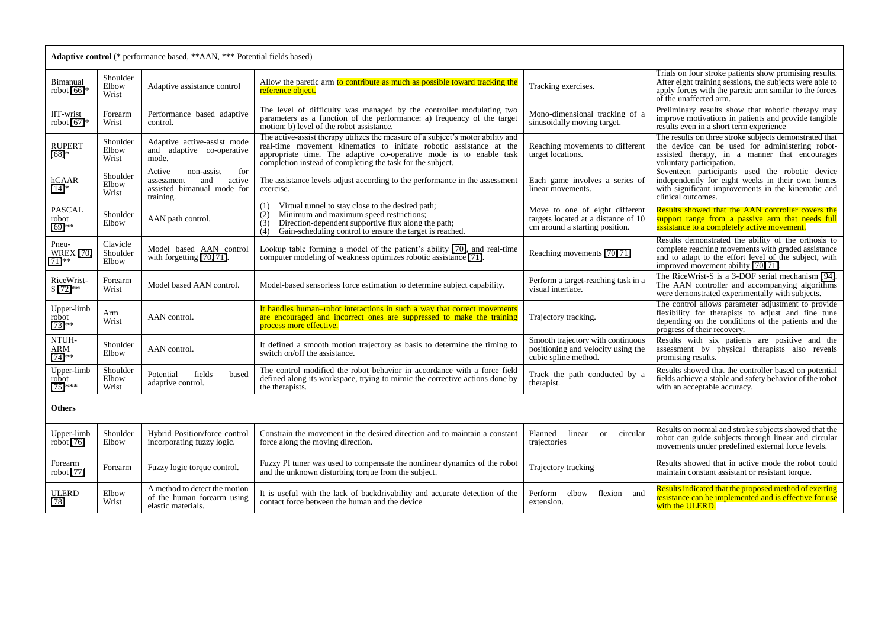| <b>Adaptive control</b> (* performance based, **AAN, *** Potential fields based) |                               |                                                                                                       |                                                                                                                                                                                                                                                                                            |                                                                                                         |                                                                                                                                                                                                           |  |  |
|----------------------------------------------------------------------------------|-------------------------------|-------------------------------------------------------------------------------------------------------|--------------------------------------------------------------------------------------------------------------------------------------------------------------------------------------------------------------------------------------------------------------------------------------------|---------------------------------------------------------------------------------------------------------|-----------------------------------------------------------------------------------------------------------------------------------------------------------------------------------------------------------|--|--|
| Bimanual<br>robot $[66]$ *                                                       | Shoulder<br>Elbow<br>Wrist    | Adaptive assistance control                                                                           | Allow the paretic arm to contribute as much as possible toward tracking the<br>reference object.                                                                                                                                                                                           | Tracking exercises.                                                                                     | Trials on four stroke patients show promising results.<br>After eight training sessions, the subjects were able to<br>apply forces with the paretic arm similar to the forces<br>of the unaffected arm.   |  |  |
| IIT-wrist<br>robot $[67]*$                                                       | Forearm<br>Wrist              | Performance based adaptive<br>control.                                                                | The level of difficulty was managed by the controller modulating two<br>parameters as a function of the performance: a) frequency of the target<br>motion; b) level of the robot assistance.                                                                                               | Mono-dimensional tracking of a<br>sinusoidally moving target.                                           | Preliminary results show that robotic therapy may<br>improve motivations in patients and provide tangible<br>results even in a short term experience                                                      |  |  |
| <b>RUPERT</b><br>$[68]$ *                                                        | Shoulder<br>Elbow<br>Wrist    | Adaptive active-assist mode<br>and adaptive co-operative<br>mode.                                     | The active-assist therapy utilizes the measure of a subject's motor ability and<br>real-time movement kinematics to initiate robotic assistance at the<br>appropriate time. The adaptive co-operative mode is to enable task<br>completion instead of completing the task for the subject. | Reaching movements to different<br>target locations.                                                    | The results on three stroke subjects demonstrated that<br>the device can be used for administering robot-<br>assisted therapy, in a manner that encourages<br>voluntary participation.                    |  |  |
| hCAAR<br>$[14]*$                                                                 | Shoulder<br>Elbow<br>Wrist    | non-assist<br>for<br>Active<br>active<br>assessment<br>and<br>assisted bimanual mode for<br>training. | The assistance levels adjust according to the performance in the assessment<br>exercise.                                                                                                                                                                                                   | Each game involves a series of<br>linear movements.                                                     | Seventeen participants used the robotic device<br>independently for eight weeks in their own homes<br>with significant improvements in the kinematic and<br>clinical outcomes.                            |  |  |
| <b>PASCAL</b><br>robot<br>$[69]$ **                                              | Shoulder<br>Elbow             | AAN path control.                                                                                     | Virtual tunnel to stay close to the desired path;<br>(1)<br>Minimum and maximum speed restrictions;<br>(2)<br>(3)<br>Direction-dependent supportive flux along the path;<br>Gain-scheduling control to ensure the target is reached.<br>(4)                                                | Move to one of eight different<br>targets located at a distance of 10<br>cm around a starting position. | Results showed that the AAN controller covers the<br>support range from a passive arm that needs full<br>assistance to a completely active movement.                                                      |  |  |
| Pneu-<br><b>WREX [70,</b><br>$711**$                                             | Clavicle<br>Shoulder<br>Elbow | Model based AAN control<br>with forgetting $[70, 71]$ .                                               | Lookup table forming a model of the patient's ability [70], and real-time<br>computer modeling of weakness optimizes robotic assistance [71].                                                                                                                                              | Reaching movements [70, 71]                                                                             | Results demonstrated the ability of the orthosis to<br>complete reaching movements with graded assistance<br>and to adapt to the effort level of the subject, with<br>improved movement ability [70, 71]. |  |  |
| RiceWrist-<br>S [72]**                                                           | Forearm<br>Wrist              | Model based AAN control.                                                                              | Model-based sensorless force estimation to determine subject capability.                                                                                                                                                                                                                   | Perform a target-reaching task in a<br>visual interface.                                                | The RiceWrist-S is a 3-DOF serial mechanism [94].<br>The AAN controller and accompanying algorithms<br>were demonstrated experimentally with subjects.                                                    |  |  |
| Upper-limb<br>robot<br>$[73]$ **                                                 | Arm<br>Wrist                  | AAN control.                                                                                          | It handles human-robot interactions in such a way that correct movements<br>are encouraged and incorrect ones are suppressed to make the training<br>process more effective.                                                                                                               | Trajectory tracking.                                                                                    | The control allows parameter adjustment to provide<br>flexibility for therapists to adjust and fine tune<br>depending on the conditions of the patients and the<br>progress of their recovery.            |  |  |
| NTUH-<br>ARM<br>$[74]$ **                                                        | Shoulder<br>Elbow             | AAN control.                                                                                          | It defined a smooth motion trajectory as basis to determine the timing to<br>switch on/off the assistance.                                                                                                                                                                                 | Smooth trajectory with continuous<br>positioning and velocity using the<br>cubic spline method.         | Results with six patients are positive and the<br>assessment by physical therapists also reveals<br>promising results.                                                                                    |  |  |
| Upper-limb<br>robot<br>$[75]$ ***                                                | Shoulder<br>Elbow<br>Wrist    | fields<br>Potential<br>based<br>adaptive control.                                                     | The control modified the robot behavior in accordance with a force field<br>defined along its workspace, trying to mimic the corrective actions done by<br>the therapists.                                                                                                                 | Track the path conducted by a<br>therapist.                                                             | Results showed that the controller based on potential<br>fields achieve a stable and safety behavior of the robot<br>with an acceptable accuracy.                                                         |  |  |
| Others                                                                           |                               |                                                                                                       |                                                                                                                                                                                                                                                                                            |                                                                                                         |                                                                                                                                                                                                           |  |  |
| Upper-limb<br>robot [76]                                                         | Shoulder<br>Elbow             | Hybrid Position/force control<br>incorporating fuzzy logic.                                           | Constrain the movement in the desired direction and to maintain a constant<br>force along the moving direction.                                                                                                                                                                            | Planned<br>linear<br>circular<br><sub>or</sub><br>trajectories                                          | Results on normal and stroke subjects showed that the<br>robot can guide subjects through linear and circular<br>movements under predefined external force levels.                                        |  |  |
| Forearm<br>robot [77]                                                            | Forearm                       | Fuzzy logic torque control.                                                                           | Fuzzy PI tuner was used to compensate the nonlinear dynamics of the robot<br>and the unknown disturbing torque from the subject.                                                                                                                                                           | Trajectory tracking                                                                                     | Results showed that in active mode the robot could<br>maintain constant assistant or resistant torque.                                                                                                    |  |  |
| <b>ULERD</b><br>$[78]$                                                           | Elbow<br>Wrist                | A method to detect the motion<br>of the human forearm using<br>elastic materials.                     | It is useful with the lack of backdrivability and accurate detection of the<br>contact force between the human and the device                                                                                                                                                              | Perform elbow<br>flexion<br>and<br>extension.                                                           | Results indicated that the proposed method of exerting<br>resistance can be implemented and is effective for use<br>with the ULERD.                                                                       |  |  |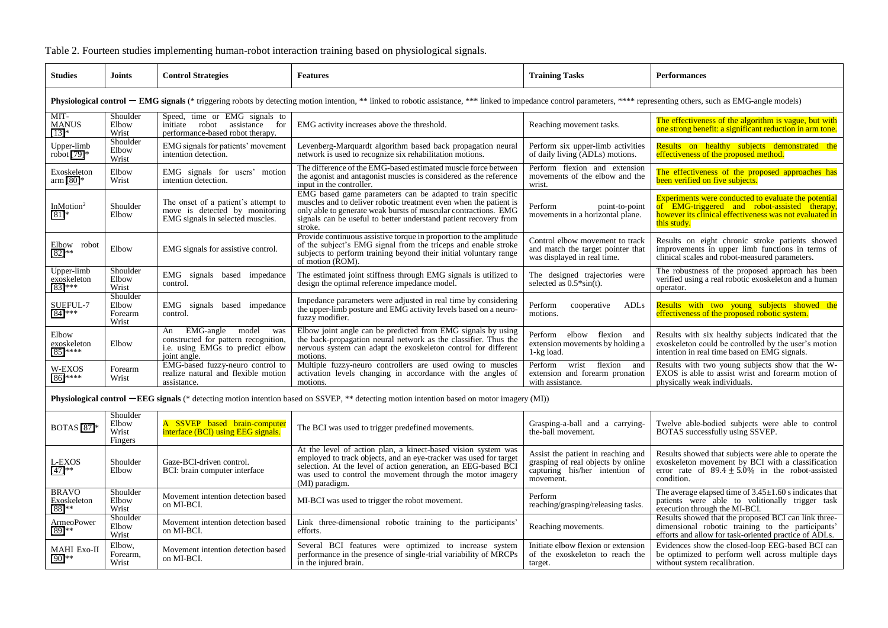| <b>Studies</b>                                                                                                                                                                                                                  | <b>Joints</b>                         | <b>Control Strategies</b>                                                                                                   | <b>Features</b>                                                                                                                                                                                                                                                                   | <b>Training Tasks</b>                                                                               | <b>Performances</b>                                                                                                                                                                             |  |  |  |
|---------------------------------------------------------------------------------------------------------------------------------------------------------------------------------------------------------------------------------|---------------------------------------|-----------------------------------------------------------------------------------------------------------------------------|-----------------------------------------------------------------------------------------------------------------------------------------------------------------------------------------------------------------------------------------------------------------------------------|-----------------------------------------------------------------------------------------------------|-------------------------------------------------------------------------------------------------------------------------------------------------------------------------------------------------|--|--|--|
| <b>Physiological control – EMG signals</b> (* triggering robots by detecting motion intention, ** linked to robotic assistance, *** linked to impedance control parameters, **** representing others, such as EMG-angle models) |                                       |                                                                                                                             |                                                                                                                                                                                                                                                                                   |                                                                                                     |                                                                                                                                                                                                 |  |  |  |
| MIT-<br><b>MANUS</b><br>$[13]*$                                                                                                                                                                                                 | Shoulder<br>Elbow<br>Wrist            | Speed, time or EMG signals to<br>assistance for<br>robot<br>initiate<br>performance-based robot therapy.                    | EMG activity increases above the threshold.                                                                                                                                                                                                                                       | Reaching movement tasks.                                                                            | The effectiveness of the algorithm is vague, but with<br>one strong benefit: a significant reduction in arm tone.                                                                               |  |  |  |
| Upper-limb<br>robot $[79]*$                                                                                                                                                                                                     | Shoulder<br>Elbow<br>Wrist            | EMG signals for patients' movement<br>intention detection.                                                                  | Levenberg-Marquardt algorithm based back propagation neural<br>network is used to recognize six rehabilitation motions.                                                                                                                                                           | Perform six upper-limb activities<br>of daily living (ADLs) motions.                                | Results on healthy subjects demonstrated the<br>effectiveness of the proposed method.                                                                                                           |  |  |  |
| Exoskeleton<br>arm $[80]$ *                                                                                                                                                                                                     | Elbow<br>Wrist                        | EMG signals for users' motion<br>intention detection.                                                                       | The difference of the EMG-based estimated muscle force between<br>the agonist and antagonist muscles is considered as the reference<br>input in the controller.                                                                                                                   | Perform flexion and extension<br>movements of the elbow and the<br>wrist.                           | The effectiveness of the proposed approaches has<br>been verified on five subjects.                                                                                                             |  |  |  |
| In $M$ otion <sup>2</sup><br>$[81]$ *                                                                                                                                                                                           | Shoulder<br>Elbow                     | The onset of a patient's attempt to<br>move is detected by monitoring<br>EMG signals in selected muscles.                   | EMG based game parameters can be adapted to train specific<br>muscles and to deliver robotic treatment even when the patient is<br>only able to generate weak bursts of muscular contractions. EMG<br>signals can be useful to better understand patient recovery from<br>stroke. | Perform<br>point-to-point<br>movements in a horizontal plane.                                       | <b>Experiments were conducted to evaluate the potential</b><br><b>EMG-triggered and robot-assisted therapy,</b><br>of<br>however its clinical effectiveness was not evaluated in<br>this study. |  |  |  |
| Elbow robot<br>$[82]$ **                                                                                                                                                                                                        | Elbow                                 | EMG signals for assistive control.                                                                                          | Provide continuous assistive torque in proportion to the amplitude<br>of the subject's EMG signal from the triceps and enable stroke subjects to perform training beyond their initial voluntary range<br>of motion (ROM).                                                        | Control elbow movement to track<br>and match the target pointer that<br>was displayed in real time. | Results on eight chronic stroke patients showed<br>improvements in upper limb functions in terms of<br>clinical scales and robot-measured parameters.                                           |  |  |  |
| Upper-limb<br>exoskeleton<br>$[83]$ ***                                                                                                                                                                                         | Shoulder<br>Elbow<br>Wrist            | EMG signals based impedance<br>control.                                                                                     | The estimated joint stiffness through EMG signals is utilized to<br>design the optimal reference impedance model.                                                                                                                                                                 | The designed trajectories were<br>selected as $0.5*sin(t)$ .                                        | The robustness of the proposed approach has been<br>verified using a real robotic exoskeleton and a human<br>operator.                                                                          |  |  |  |
| SUEFUL-7<br>$[84]$ ***                                                                                                                                                                                                          | Shoulder<br>Elbow<br>Forearm<br>Wrist | EMG signals based impedance<br>control.                                                                                     | Impedance parameters were adjusted in real time by considering<br>the upper-limb posture and EMG activity levels based on a neuro-<br>fuzzy modifier.                                                                                                                             | Perform<br>ADLs<br>cooperative<br>motions.                                                          | Results with two young subjects showed the<br>effectiveness of the proposed robotic system.                                                                                                     |  |  |  |
| Elbow<br>exoskeleton<br>$[85]$ ****                                                                                                                                                                                             | Elbow                                 | EMG-angle<br>model<br>An<br>was<br>constructed for pattern recognition,<br>i.e. using EMGs to predict elbow<br>joint angle. | Elbow joint angle can be predicted from EMG signals by using<br>the back-propagation neural network as the classifier. Thus the<br>nervous system can adapt the exoskeleton control for different<br>motions.                                                                     | elbow flexion<br>Perform<br>and<br>extension movements by holding a<br>1-kg load.                   | Results with six healthy subjects indicated that the<br>exoskeleton could be controlled by the user's motion<br>intention in real time based on EMG signals.                                    |  |  |  |
| W-EXOS<br>$[86]$ ****                                                                                                                                                                                                           | Forearm<br>Wrist                      | EMG-based fuzzy-neuro control to<br>realize natural and flexible motion<br>assistance.                                      | Multiple fuzzy-neuro controllers are used owing to muscles<br>activation levels changing in accordance with the angles of<br>motions.                                                                                                                                             | wrist<br>flexion<br>Perform<br>and<br>extension and forearm pronation<br>with assistance.           | Results with two young subjects show that the W-EXOS is able to assist wrist and forearm motion of<br>physically weak individuals.                                                              |  |  |  |
| <b>Physiological control —EEG signals</b> (* detecting motion intention based on SSVEP, ** detecting motion intention based on motor imagery (MI))                                                                              |                                       |                                                                                                                             |                                                                                                                                                                                                                                                                                   |                                                                                                     |                                                                                                                                                                                                 |  |  |  |

Table 2. Fourteen studies implementing human-robot interaction training based on physiological signals.

BOTAS [\[87\]](#page-17-18)\* Shoulder Elbow Wrist Fingers A SSVEP based brain-computer<br>interface (BCI) using EEG signals. The BCI was used to trigger predefined movements.  $\left|\begin{array}{c}\text{Grasping-a-ball} \\ \text{the ball measurement}\end{array}\right|$ the-ball movement. Twelve able-bodied subjects were able to control BOTAS successfully using SSVEP. L-EXOS [\[47\]](#page-15-22)\*\* Shoulder Elbow Gaze-BCI-driven control. BCI: brain computer interface At the level of action plan, a kinect-based vision system was employed to track objects, and an eye-tracker was used for target selection. At the level of action generation, an EEG-based BCI was used to control the movement through the motor imagery (MI) paradigm. Assist the patient in reaching and grasping of real objects by online capturing his/her intention of movement. Results showed that subjects were able to operate the exoskeleton movement by BCI with a classification error rate of  $89.4 \pm 5.0\%$  in the robot-assisted condition. BRAVO Exoskeleton [\[88\]](#page-17-19)\*\* Shoulder Elbow Wrist Movement intention detection based<br>on MI-BCI. MI-BCI was used to trigger the robot movement. reaching/grasping/releasing tasks. The average elapsed time of 3.45±1.60 s indicates that patients were able to volitionally trigger task execution through the MI-BCI. ArmeoPower [\[89\]](#page-17-20)\*\* Shoulder Elbow Wrist Movement intention detection based on MI-BCI. Link three-dimensional robotic training to the participants' Reaching movements. Results showed that the proposed BCI can link threedimensional robotic training to the participants' efforts and allow for task-oriented practice of ADLs. MAHI Exo-II [\[90\]](#page-17-21)\*\* Elbow, Forearm, Wrist Movement intention detection based on MI-BCI. Several BCI features were optimized to increase system performance in the presence of single-trial variability of MRCPs in the injured brain. Initiate elbow flexion or extension of the exoskeleton to reach the target. Evidences show the closed-loop EEG-based BCI can be optimized to perform well across multiple days without system recalibration.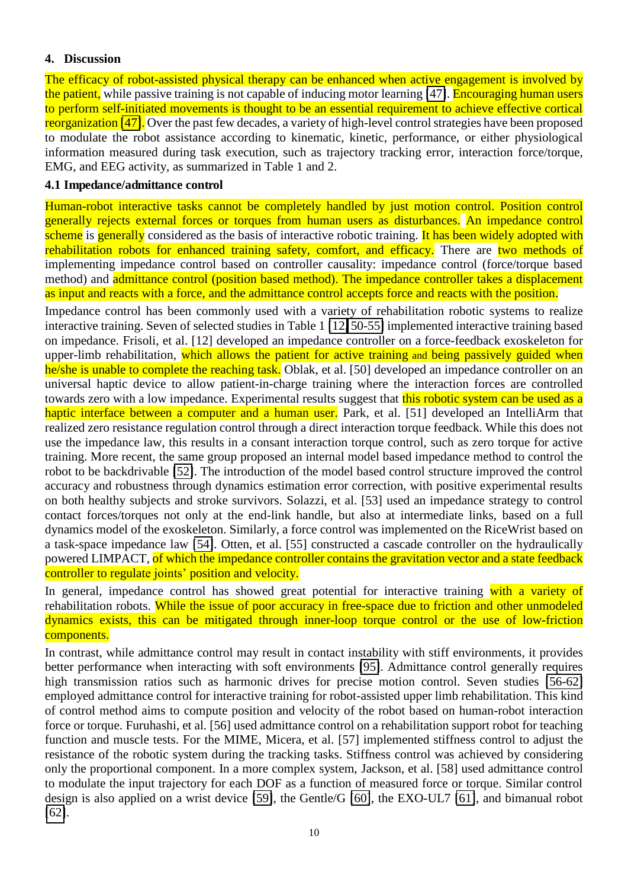#### **4. Discussion**

The efficacy of robot-assisted physical therapy can be enhanced when active engagement is involved by the patient, while passive training is not capable of inducing motor learning [\[47\]](#page-15-7). Encouraging human users to perform self-initiated movements is thought to be an essential requirement to achieve effective cortical reorganization [\[47\]](#page-15-7). Over the past few decades, a variety of high-level control strategies have been proposed to modulate the robot assistance according to kinematic, kinetic, performance, or either physiological information measured during task execution, such as trajectory tracking error, interaction force/torque, EMG, and EEG activity, as summarized in Table 1 and 2.

#### **4.1 Impedance/admittance control**

Human-robot interactive tasks cannot be completely handled by just motion control. Position control generally rejects external forces or torques from human users as disturbances. An impedance control scheme is generally considered as the basis of interactive robotic training. It has been widely adopted with rehabilitation robots for enhanced training safety, comfort, and efficacy. There are two methods of implementing impedance control based on controller causality: impedance control (force/torque based method) and admittance control (position based method). The impedance controller takes a displacement as input and reacts with a force, and the admittance control accepts force and reacts with the position.

Impedance control has been commonly used with a variety of rehabilitation robotic systems to realize interactive training. Seven of selected studies in Table 1 [\[12,](#page-13-8) [50-55\]](#page-15-10) implemented interactive training based on impedance. Frisoli, et al. [12] developed an impedance controller on a force-feedback exoskeleton for upper-limb rehabilitation, which allows the patient for active training and being passively guided when he/she is unable to complete the reaching task. Oblak, et al. [50] developed an impedance controller on an universal haptic device to allow patient-in-charge training where the interaction forces are controlled towards zero with a low impedance. Experimental results suggest that this robotic system can be used as a haptic interface between a computer and a human user. Park, et al. [51] developed an IntelliArm that realized zero resistance regulation control through a direct interaction torque feedback. While this does not use the impedance law, this results in a consant interaction torque control, such as zero torque for active training. More recent, the same group proposed an internal model based impedance method to control the robot to be backdrivable [\[52\]](#page-15-23). The introduction of the model based control structure improved the control accuracy and robustness through dynamics estimation error correction, with positive experimental results on both healthy subjects and stroke survivors. Solazzi, et al. [53] used an impedance strategy to control contact forces/torques not only at the end-link handle, but also at intermediate links, based on a full dynamics model of the exoskeleton. Similarly, a force control was implemented on the RiceWrist based on a task-space impedance law [\[54\]](#page-15-24). Otten, et al. [55] constructed a cascade controller on the hydraulically powered LIMPACT, of which the impedance controller contains the gravitation vector and a state feedback controller to regulate joints' position and velocity.

In general, impedance control has showed great potential for interactive training with a variety of rehabilitation robots. While the issue of poor accuracy in free-space due to friction and other unmodeled dynamics exists, this can be mitigated through inner-loop torque control or the use of low-friction components.

In contrast, while admittance control may result in contact instability with stiff environments, it provides better performance when interacting with soft environments [\[95\]](#page-17-22). Admittance control generally requires high transmission ratios such as harmonic drives for precise motion control. Seven studies [\[56-62\]](#page-15-11) employed admittance control for interactive training for robot-assisted upper limb rehabilitation. This kind of control method aims to compute position and velocity of the robot based on human-robot interaction force or torque. Furuhashi, et al. [56] used admittance control on a rehabilitation support robot for teaching function and muscle tests. For the MIME, Micera, et al. [57] implemented stiffness control to adjust the resistance of the robotic system during the tracking tasks. Stiffness control was achieved by considering only the proportional component. In a more complex system, Jackson, et al. [58] used admittance control to modulate the input trajectory for each DOF as a function of measured force or torque. Similar control design is also applied on a wrist device [\[59\]](#page-15-25), the Gentle/G [\[60\]](#page-16-26), the EXO-UL7 [\[61\]](#page-16-27), and bimanual robot [\[62\]](#page-16-28).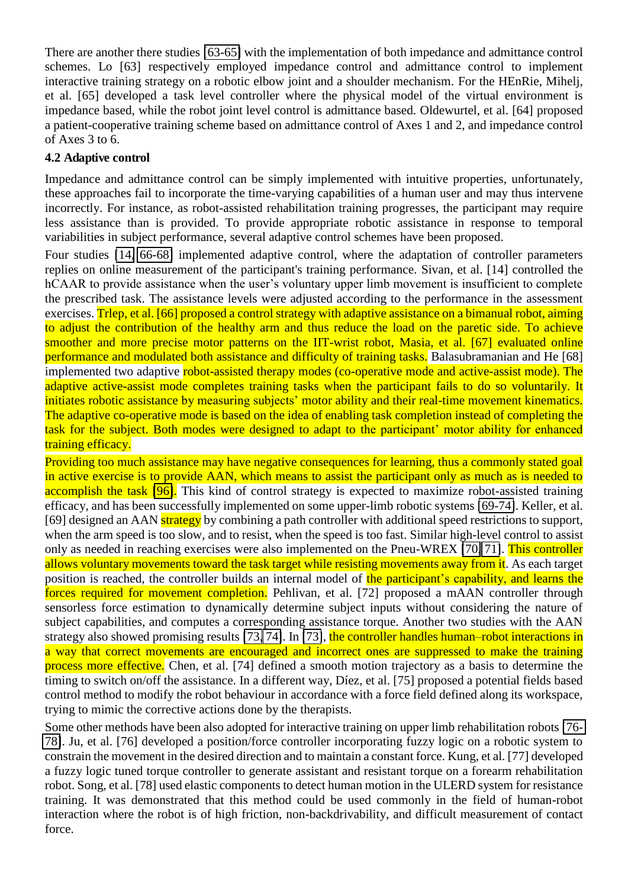There are another there studies [\[63-65\]](#page-16-0) with the implementation of both impedance and admittance control schemes. Lo [63] respectively employed impedance control and admittance control to implement interactive training strategy on a robotic elbow joint and a shoulder mechanism. For the HEnRie, Mihelj, et al. [65] developed a task level controller where the physical model of the virtual environment is impedance based, while the robot joint level control is admittance based. Oldewurtel, et al. [64] proposed a patient-cooperative training scheme based on admittance control of Axes 1 and 2, and impedance control of Axes 3 to 6.

## **4.2 Adaptive control**

Impedance and admittance control can be simply implemented with intuitive properties, unfortunately, these approaches fail to incorporate the time-varying capabilities of a human user and may thus intervene incorrectly. For instance, as robot-assisted rehabilitation training progresses, the participant may require less assistance than is provided. To provide appropriate robotic assistance in response to temporal variabilities in subject performance, several adaptive control schemes have been proposed.

Four studies [\[14,](#page-13-10) [66-68\]](#page-16-1) implemented adaptive control, where the adaptation of controller parameters replies on online measurement of the participant's training performance. Sivan, et al. [14] controlled the hCAAR to provide assistance when the user's voluntary upper limb movement is insufficient to complete the prescribed task. The assistance levels were adjusted according to the performance in the assessment exercises. Trlep, et al. [66] proposed a control strategy with adaptive assistance on a bimanual robot, aiming to adjust the contribution of the healthy arm and thus reduce the load on the paretic side. To achieve smoother and more precise motor patterns on the IIT-wrist robot, Masia, et al. [67] evaluated online performance and modulated both assistance and difficulty of training tasks. Balasubramanian and He [68] implemented two adaptive robot-assisted therapy modes (co-operative mode and active-assist mode). The adaptive active-assist mode completes training tasks when the participant fails to do so voluntarily. It initiates robotic assistance by measuring subjects' motor ability and their real-time movement kinematics. The adaptive co-operative mode is based on the idea of enabling task completion instead of completing the task for the subject. Both modes were designed to adapt to the participant' motor ability for enhanced training efficacy.

Providing too much assistance may have negative consequences for learning, thus a commonly stated goal in active exercise is to provide AAN, which means to assist the participant only as much as is needed to accomplish the task [\[96\]](#page-17-23). This kind of control strategy is expected to maximize robot-assisted training efficacy, and has been successfully implemented on some upper-limb robotic systems [\[69-74\]](#page-16-2). Keller, et al. [69] designed an AAN strategy by combining a path controller with additional speed restrictions to support, when the arm speed is too slow, and to resist, when the speed is too fast. Similar high-level control to assist only as needed in reaching exercises were also implemented on the Pneu-WREX [\[70,](#page-16-29) [71\]](#page-16-30). This controller allows voluntary movements toward the task target while resisting movements away from it. As each target position is reached, the controller builds an internal model of the participant's capability, and learns the forces required for movement completion. Pehlivan, et al. [72] proposed a mAAN controller through sensorless force estimation to dynamically determine subject inputs without considering the nature of subject capabilities, and computes a corresponding assistance torque. Another two studies with the AAN strategy also showed promising results [\[73,](#page-16-31) [74\]](#page-16-32). In [\[73\]](#page-16-31), the controller handles human–robot interactions in a way that correct movements are encouraged and incorrect ones are suppressed to make the training process more effective. Chen, et al. [74] defined a smooth motion trajectory as a basis to determine the timing to switch on/off the assistance. In a different way, Díez, et al. [75] proposed a potential fields based control method to modify the robot behaviour in accordance with a force field defined along its workspace, trying to mimic the corrective actions done by the therapists.

Some other methods have been also adopted for interactive training on upper limb rehabilitation robots [\[76-](#page-16-4) [78\]](#page-16-4). Ju, et al. [76] developed a position/force controller incorporating fuzzy logic on a robotic system to constrain the movement in the desired direction and to maintain a constant force. Kung, et al. [77] developed a fuzzy logic tuned torque controller to generate assistant and resistant torque on a forearm rehabilitation robot. Song, et al. [78] used elastic components to detect human motion in the ULERD system for resistance training. It was demonstrated that this method could be used commonly in the field of human-robot interaction where the robot is of high friction, non-backdrivability, and difficult measurement of contact force.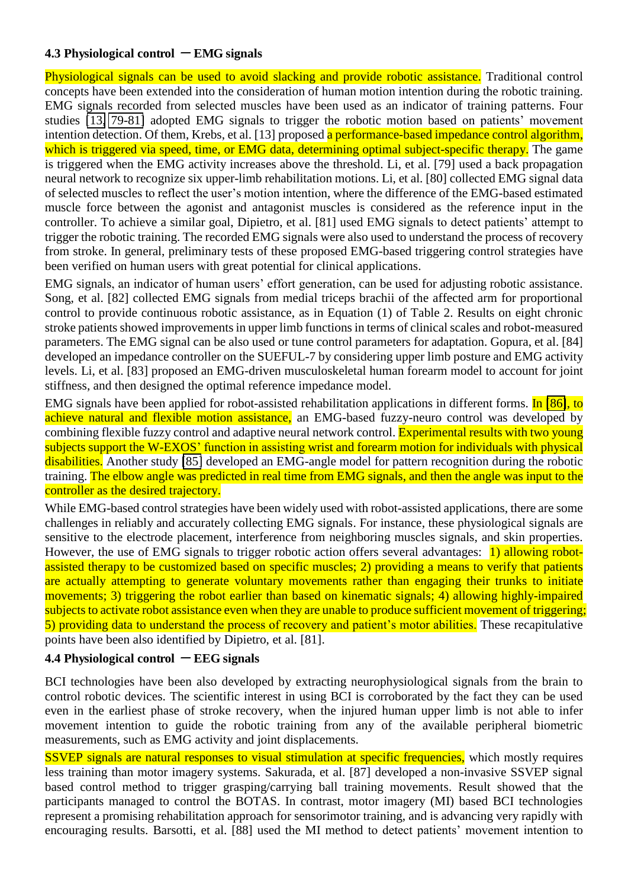### **4.3 Physiological control**  $\overline{ }$  **EMG signals**

Physiological signals can be used to avoid slacking and provide robotic assistance. Traditional control concepts have been extended into the consideration of human motion intention during the robotic training. EMG signals recorded from selected muscles have been used as an indicator of training patterns. Four studies [\[13,](#page-13-9) [79-81\]](#page-16-5) adopted EMG signals to trigger the robotic motion based on patients' movement intention detection. Of them, Krebs, et al. [13] proposed a performance-based impedance control algorithm, which is triggered via speed, time, or EMG data, determining optimal subject-specific therapy. The game is triggered when the EMG activity increases above the threshold. Li, et al. [79] used a back propagation neural network to recognize six upper-limb rehabilitation motions. Li, et al. [80] collected EMG signal data of selected muscles to reflect the user's motion intention, where the difference of the EMG-based estimated muscle force between the agonist and antagonist muscles is considered as the reference input in the controller. To achieve a similar goal, Dipietro, et al. [81] used EMG signals to detect patients' attempt to trigger the robotic training. The recorded EMG signals were also used to understand the process of recovery from stroke. In general, preliminary tests of these proposed EMG-based triggering control strategies have been verified on human users with great potential for clinical applications.

EMG signals, an indicator of human users' effort generation, can be used for adjusting robotic assistance. Song, et al. [82] collected EMG signals from medial triceps brachii of the affected arm for proportional control to provide continuous robotic assistance, as in Equation (1) of Table 2. Results on eight chronic stroke patients showed improvements in upper limb functions in terms of clinical scales and robot-measured parameters. The EMG signal can be also used or tune control parameters for adaptation. Gopura, et al. [84] developed an impedance controller on the SUEFUL-7 by considering upper limb posture and EMG activity levels. Li, et al. [83] proposed an EMG-driven musculoskeletal human forearm model to account for joint stiffness, and then designed the optimal reference impedance model.

EMG signals have been applied for robot-assisted rehabilitation applications in different forms. In [\[86\]](#page-17-5), to achieve natural and flexible motion assistance, an EMG-based fuzzy-neuro control was developed by combining flexible fuzzy control and adaptive neural network control. Experimental results with two young subjects support the W-EXOS' function in assisting wrist and forearm motion for individuals with physical disabilities. Another study [\[85\]](#page-17-4) developed an EMG-angle model for pattern recognition during the robotic training. The elbow angle was predicted in real time from EMG signals, and then the angle was input to the controller as the desired trajectory.

While EMG-based control strategies have been widely used with robot-assisted applications, there are some challenges in reliably and accurately collecting EMG signals. For instance, these physiological signals are sensitive to the electrode placement, interference from neighboring muscles signals, and skin properties. However, the use of EMG signals to trigger robotic action offers several advantages: 1) allowing robotassisted therapy to be customized based on specific muscles; 2) providing a means to verify that patients are actually attempting to generate voluntary movements rather than engaging their trunks to initiate movements; 3) triggering the robot earlier than based on kinematic signals; 4) allowing highly-impaired subjects to activate robot assistance even when they are unable to produce sufficient movement of triggering; 5) providing data to understand the process of recovery and patient's motor abilities. These recapitulative points have been also identified by Dipietro, et al. [81].

#### **4.4 Physiological control**  $\mathbf{F}$ **EEG signals**

BCI technologies have been also developed by extracting neurophysiological signals from the brain to control robotic devices. The scientific interest in using BCI is corroborated by the fact they can be used even in the earliest phase of stroke recovery, when the injured human upper limb is not able to infer movement intention to guide the robotic training from any of the available peripheral biometric measurements, such as EMG activity and joint displacements.

SSVEP signals are natural responses to visual stimulation at specific frequencies, which mostly requires less training than motor imagery systems. Sakurada, et al. [87] developed a non-invasive SSVEP signal based control method to trigger grasping/carrying ball training movements. Result showed that the participants managed to control the BOTAS. In contrast, motor imagery (MI) based BCI technologies represent a promising rehabilitation approach for sensorimotor training, and is advancing very rapidly with encouraging results. Barsotti, et al. [88] used the MI method to detect patients' movement intention to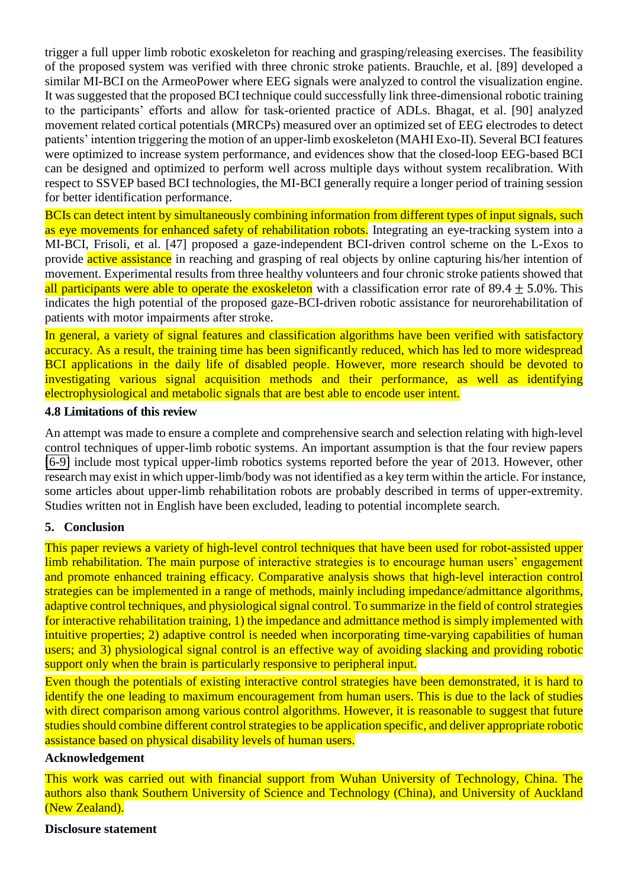<span id="page-13-1"></span><span id="page-13-0"></span>trigger a full upper limb robotic exoskeleton for reaching and grasping/releasing exercises. The feasibility of the proposed system was verified with three chronic stroke patients. Brauchle, et al. [89] developed a similar MI-BCI on the ArmeoPower where EEG signals were analyzed to control the visualization engine. It was suggested that the proposed BCI technique could successfully link three-dimensional robotic training to the participants' efforts and allow for task-oriented practice of ADLs. Bhagat, et al. [90] analyzed movement related cortical potentials (MRCPs) measured over an optimized set of EEG electrodes to detect patients' intention triggering the motion of an upper-limb exoskeleton (MAHI Exo-II). Several BCI features were optimized to increase system performance, and evidences show that the closed-loop EEG-based BCI can be designed and optimized to perform well across multiple days without system recalibration. With respect to SSVEP based BCI technologies, the MI-BCI generally require a longer period of training session for better identification performance.

<span id="page-13-16"></span><span id="page-13-15"></span><span id="page-13-14"></span><span id="page-13-5"></span><span id="page-13-4"></span><span id="page-13-3"></span><span id="page-13-2"></span>BCIs can detect intent by simultaneously combining information from different types of input signals, such as eye movements for enhanced safety of rehabilitation robots. Integrating an eye-tracking system into a MI-BCI, Frisoli, et al. [47] proposed a gaze-independent BCI-driven control scheme on the L-Exos to provide active assistance in reaching and grasping of real objects by online capturing his/her intention of movement. Experimental results from three healthy volunteers and four chronic stroke patients showed that all participants were able to operate the exoskeleton with a classification error rate of 89.4  $\pm$  5.0%. This indicates the high potential of the proposed gaze-BCI-driven robotic assistance for neurorehabilitation of patients with motor impairments after stroke.

In general, a variety of signal features and classification algorithms have been verified with satisfactory accuracy. As a result, the training time has been significantly reduced, which has led to more widespread BCI applications in the daily life of disabled people. However, more research should be devoted to investigating various signal acquisition methods and their performance, as well as identifying electrophysiological and metabolic signals that are best able to encode user intent.

#### <span id="page-13-6"></span>**4.8 Limitations of this review**

<span id="page-13-8"></span><span id="page-13-7"></span>An attempt was made to ensure a complete and comprehensive search and selection relating with high-level control techniques of upper-limb robotic systems. An important assumption is that the four review papers [\[6-9\]](#page-13-5) include most typical upper-limb robotics systems reported before the year of 2013. However, other research may exist in which upper-limb/body was not identified as a key term within the article. For instance, some articles about upper-limb rehabilitation robots are probably described in terms of upper-extremity. Studies written not in English have been excluded, leading to potential incomplete search.

### <span id="page-13-10"></span><span id="page-13-9"></span>**5. Conclusion**

This paper reviews a variety of high-level control techniques that have been used for robot-assisted upper limb rehabilitation. The main purpose of interactive strategies is to encourage human users' engagement and promote enhanced training efficacy. Comparative analysis shows that high-level interaction control strategies can be implemented in a range of methods, mainly including impedance/admittance algorithms, adaptive control techniques, and physiological signal control. To summarize in the field of control strategies for interactive rehabilitation training, 1) the impedance and admittance method is simply implemented with intuitive properties; 2) adaptive control is needed when incorporating time-varying capabilities of human users; and 3) physiological signal control is an effective way of avoiding slacking and providing robotic support only when the brain is particularly responsive to peripheral input.

<span id="page-13-12"></span><span id="page-13-11"></span>Even though the potentials of existing interactive control strategies have been demonstrated, it is hard to identify the one leading to maximum encouragement from human users. This is due to the lack of studies with direct comparison among various control algorithms. However, it is reasonable to suggest that future studies should combine different control strategies to be application specific, and deliver appropriate robotic assistance based on physical disability levels of human users.

#### <span id="page-13-13"></span>**Acknowledgement**

This work was carried out with financial support from Wuhan University of Technology, China. The authors also thank Southern University of Science and Technology (China), and University of Auckland (New Zealand).

#### **Disclosure statement**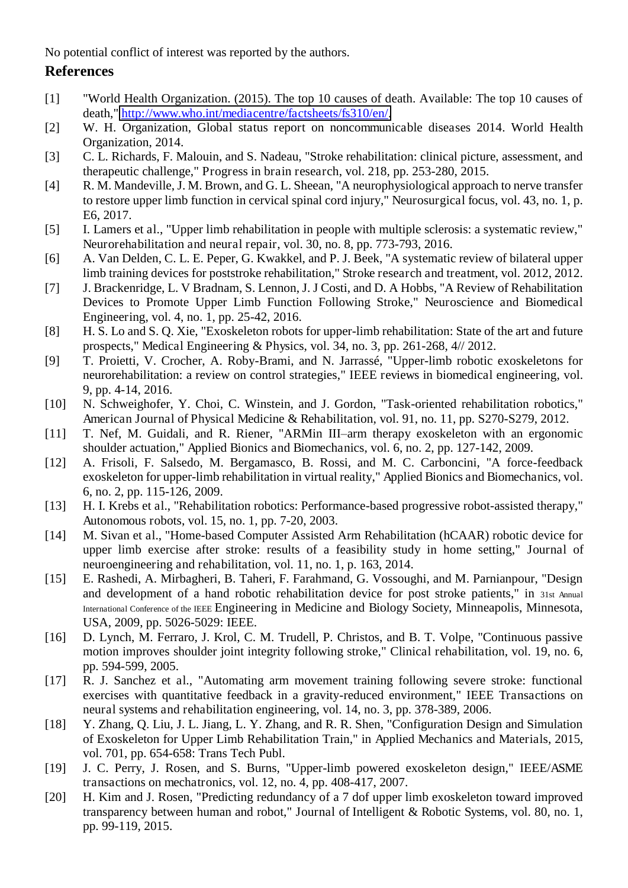<span id="page-14-0"></span>No potential conflict of interest was reported by the authors.

## **References**

- <span id="page-14-1"></span>[1] "World Health Organization. (2015). The top 10 causes of death. Available: The top 10 causes of death," [http://www.who.int/mediacentre/factsheets/fs310/en/.](http://www.who.int/mediacentre/factsheets/fs310/en/)
- <span id="page-14-2"></span>[2] W. H. Organization, Global status report on noncommunicable diseases 2014. World Health Organization, 2014.
- <span id="page-14-3"></span>[3] C. L. Richards, F. Malouin, and S. Nadeau, "Stroke rehabilitation: clinical picture, assessment, and therapeutic challenge," Progress in brain research, vol. 218, pp. 253-280, 2015.
- [4] R. M. Mandeville, J. M. Brown, and G. L. Sheean, "A neurophysiological approach to nerve transfer to restore upper limb function in cervical spinal cord injury," Neurosurgical focus, vol. 43, no. 1, p. E6, 2017.
- <span id="page-14-4"></span>[5] I. Lamers et al., "Upper limb rehabilitation in people with multiple sclerosis: a systematic review," Neurorehabilitation and neural repair, vol. 30, no. 8, pp. 773-793, 2016.
- <span id="page-14-5"></span>[6] A. Van Delden, C. L. E. Peper, G. Kwakkel, and P. J. Beek, "A systematic review of bilateral upper limb training devices for poststroke rehabilitation," Stroke research and treatment, vol. 2012, 2012.
- <span id="page-14-6"></span>[7] J. Brackenridge, L. V Bradnam, S. Lennon, J. J Costi, and D. A Hobbs, "A Review of Rehabilitation Devices to Promote Upper Limb Function Following Stroke," Neuroscience and Biomedical Engineering, vol. 4, no. 1, pp. 25-42, 2016.
- <span id="page-14-7"></span>[8] H. S. Lo and S. Q. Xie, "Exoskeleton robots for upper-limb rehabilitation: State of the art and future prospects," Medical Engineering & Physics, vol. 34, no. 3, pp. 261-268, 4// 2012.
- [9] T. Proietti, V. Crocher, A. Roby-Brami, and N. Jarrassé, "Upper-limb robotic exoskeletons for neurorehabilitation: a review on control strategies," IEEE reviews in biomedical engineering, vol. 9, pp. 4-14, 2016.
- <span id="page-14-9"></span><span id="page-14-8"></span>[10] N. Schweighofer, Y. Choi, C. Winstein, and J. Gordon, "Task-oriented rehabilitation robotics," American Journal of Physical Medicine & Rehabilitation, vol. 91, no. 11, pp. S270-S279, 2012.
- <span id="page-14-10"></span>[11] T. Nef, M. Guidali, and R. Riener, "ARMin III–arm therapy exoskeleton with an ergonomic shoulder actuation," Applied Bionics and Biomechanics, vol. 6, no. 2, pp. 127-142, 2009.
- [12] A. Frisoli, F. Salsedo, M. Bergamasco, B. Rossi, and M. C. Carboncini, "A force-feedback exoskeleton for upper-limb rehabilitation in virtual reality," Applied Bionics and Biomechanics, vol. 6, no. 2, pp. 115-126, 2009.
- <span id="page-14-11"></span>[13] H. I. Krebs et al., "Rehabilitation robotics: Performance-based progressive robot-assisted therapy," Autonomous robots, vol. 15, no. 1, pp. 7-20, 2003.
- <span id="page-14-12"></span>[14] M. Sivan et al., "Home-based Computer Assisted Arm Rehabilitation (hCAAR) robotic device for upper limb exercise after stroke: results of a feasibility study in home setting," Journal of neuroengineering and rehabilitation, vol. 11, no. 1, p. 163, 2014.
- <span id="page-14-13"></span>[15] E. Rashedi, A. Mirbagheri, B. Taheri, F. Farahmand, G. Vossoughi, and M. Parnianpour, "Design and development of a hand robotic rehabilitation device for post stroke patients," in 31st Annual International Conference of the IEEE Engineering in Medicine and Biology Society, Minneapolis, Minnesota, USA, 2009, pp. 5026-5029: IEEE.
- <span id="page-14-14"></span>[16] D. Lynch, M. Ferraro, J. Krol, C. M. Trudell, P. Christos, and B. T. Volpe, "Continuous passive motion improves shoulder joint integrity following stroke," Clinical rehabilitation, vol. 19, no. 6, pp. 594-599, 2005.
- <span id="page-14-16"></span><span id="page-14-15"></span>[17] R. J. Sanchez et al., "Automating arm movement training following severe stroke: functional exercises with quantitative feedback in a gravity-reduced environment," IEEE Transactions on neural systems and rehabilitation engineering, vol. 14, no. 3, pp. 378-389, 2006.
- <span id="page-14-17"></span>[18] Y. Zhang, Q. Liu, J. L. Jiang, L. Y. Zhang, and R. R. Shen, "Configuration Design and Simulation of Exoskeleton for Upper Limb Rehabilitation Train," in Applied Mechanics and Materials, 2015, vol. 701, pp. 654-658: Trans Tech Publ.
- <span id="page-14-18"></span>[19] J. C. Perry, J. Rosen, and S. Burns, "Upper-limb powered exoskeleton design," IEEE/ASME transactions on mechatronics, vol. 12, no. 4, pp. 408-417, 2007.
- [20] H. Kim and J. Rosen, "Predicting redundancy of a 7 dof upper limb exoskeleton toward improved transparency between human and robot," Journal of Intelligent & Robotic Systems, vol. 80, no. 1, pp. 99-119, 2015.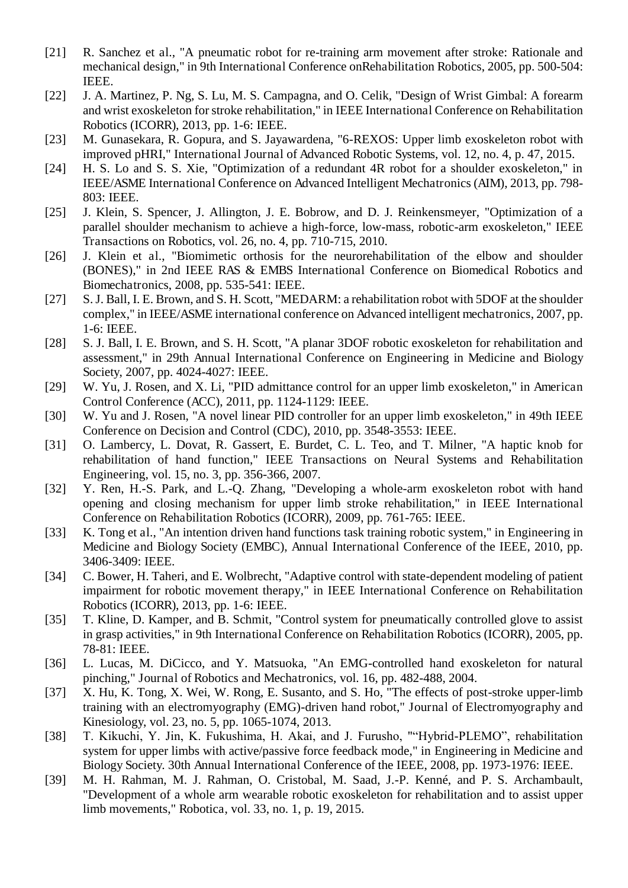- <span id="page-15-22"></span><span id="page-15-0"></span>[21] R. Sanchez et al., "A pneumatic robot for re-training arm movement after stroke: Rationale and mechanical design," in 9th International Conference onRehabilitation Robotics, 2005, pp. 500-504: IEEE.
- <span id="page-15-1"></span>[22] J. A. Martinez, P. Ng, S. Lu, M. S. Campagna, and O. Celik, "Design of Wrist Gimbal: A forearm and wrist exoskeleton for stroke rehabilitation," in IEEE International Conference on Rehabilitation Robotics (ICORR), 2013, pp. 1-6: IEEE.
- <span id="page-15-2"></span>[23] M. Gunasekara, R. Gopura, and S. Jayawardena, "6-REXOS: Upper limb exoskeleton robot with improved pHRI," International Journal of Advanced Robotic Systems, vol. 12, no. 4, p. 47, 2015.
- <span id="page-15-13"></span><span id="page-15-12"></span><span id="page-15-3"></span>[24] H. S. Lo and S. S. Xie, "Optimization of a redundant 4R robot for a shoulder exoskeleton," in IEEE/ASME International Conference on Advanced Intelligent Mechatronics (AIM), 2013, pp. 798- 803: IEEE.
- <span id="page-15-14"></span><span id="page-15-4"></span>[25] J. Klein, S. Spencer, J. Allington, J. E. Bobrow, and D. J. Reinkensmeyer, "Optimization of a parallel shoulder mechanism to achieve a high-force, low-mass, robotic-arm exoskeleton," IEEE Transactions on Robotics, vol. 26, no. 4, pp. 710-715, 2010.
- <span id="page-15-5"></span>[26] J. Klein et al., "Biomimetic orthosis for the neurorehabilitation of the elbow and shoulder (BONES)," in 2nd IEEE RAS & EMBS International Conference on Biomedical Robotics and Biomechatronics, 2008, pp. 535-541: IEEE.
- <span id="page-15-15"></span><span id="page-15-7"></span><span id="page-15-6"></span>[27] S. J. Ball, I. E. Brown, and S. H. Scott, "MEDARM: a rehabilitation robot with 5DOF at the shoulder complex," in IEEE/ASME international conference on Advanced intelligent mechatronics, 2007, pp. 1-6: IEEE.
- <span id="page-15-16"></span><span id="page-15-8"></span>[28] S. J. Ball, I. E. Brown, and S. H. Scott, "A planar 3DOF robotic exoskeleton for rehabilitation and assessment," in 29th Annual International Conference on Engineering in Medicine and Biology Society, 2007, pp. 4024-4027: IEEE.
- <span id="page-15-17"></span><span id="page-15-9"></span>[29] W. Yu, J. Rosen, and X. Li, "PID admittance control for an upper limb exoskeleton," in American Control Conference (ACC), 2011, pp. 1124-1129: IEEE.
- <span id="page-15-18"></span><span id="page-15-10"></span>[30] W. Yu and J. Rosen, "A novel linear PID controller for an upper limb exoskeleton," in 49th IEEE Conference on Decision and Control (CDC), 2010, pp. 3548-3553: IEEE.
- <span id="page-15-19"></span>[31] O. Lambercy, L. Dovat, R. Gassert, E. Burdet, C. L. Teo, and T. Milner, "A haptic knob for rehabilitation of hand function," IEEE Transactions on Neural Systems and Rehabilitation Engineering, vol. 15, no. 3, pp. 356-366, 2007.
- <span id="page-15-23"></span><span id="page-15-20"></span>[32] Y. Ren, H.-S. Park, and L.-Q. Zhang, "Developing a whole-arm exoskeleton robot with hand opening and closing mechanism for upper limb stroke rehabilitation," in IEEE International Conference on Rehabilitation Robotics (ICORR), 2009, pp. 761-765: IEEE.
- <span id="page-15-21"></span>[33] K. Tong et al., "An intention driven hand functions task training robotic system," in Engineering in Medicine and Biology Society (EMBC), Annual International Conference of the IEEE, 2010, pp. 3406-3409: IEEE.
- <span id="page-15-24"></span>[34] C. Bower, H. Taheri, and E. Wolbrecht, "Adaptive control with state-dependent modeling of patient impairment for robotic movement therapy," in IEEE International Conference on Rehabilitation Robotics (ICORR), 2013, pp. 1-6: IEEE.
- [35] T. Kline, D. Kamper, and B. Schmit, "Control system for pneumatically controlled glove to assist in grasp activities," in 9th International Conference on Rehabilitation Robotics (ICORR), 2005, pp. 78-81: IEEE.
- <span id="page-15-11"></span>[36] L. Lucas, M. DiCicco, and Y. Matsuoka, "An EMG-controlled hand exoskeleton for natural pinching," Journal of Robotics and Mechatronics, vol. 16, pp. 482-488, 2004.
- [37] X. Hu, K. Tong, X. Wei, W. Rong, E. Susanto, and S. Ho, "The effects of post-stroke upper-limb training with an electromyography (EMG)-driven hand robot," Journal of Electromyography and Kinesiology, vol. 23, no. 5, pp. 1065-1074, 2013.
- [38] T. Kikuchi, Y. Jin, K. Fukushima, H. Akai, and J. Furusho, ""Hybrid-PLEMO", rehabilitation system for upper limbs with active/passive force feedback mode," in Engineering in Medicine and Biology Society. 30th Annual International Conference of the IEEE, 2008, pp. 1973-1976: IEEE.
- <span id="page-15-25"></span>[39] M. H. Rahman, M. J. Rahman, O. Cristobal, M. Saad, J.-P. Kenné, and P. S. Archambault, "Development of a whole arm wearable robotic exoskeleton for rehabilitation and to assist upper limb movements," Robotica, vol. 33, no. 1, p. 19, 2015.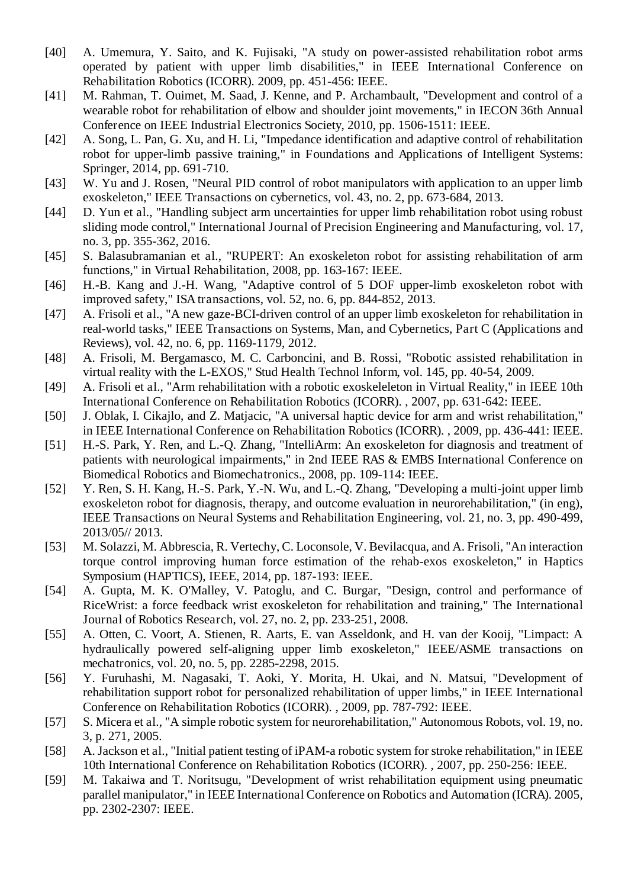- <span id="page-16-26"></span><span id="page-16-12"></span><span id="page-16-11"></span><span id="page-16-10"></span><span id="page-16-9"></span><span id="page-16-8"></span><span id="page-16-7"></span><span id="page-16-6"></span>[40] A. Umemura, Y. Saito, and K. Fujisaki, "A study on power-assisted rehabilitation robot arms operated by patient with upper limb disabilities," in IEEE International Conference on Rehabilitation Robotics (ICORR). 2009, pp. 451-456: IEEE.
- <span id="page-16-27"></span><span id="page-16-13"></span>[41] M. Rahman, T. Ouimet, M. Saad, J. Kenne, and P. Archambault, "Development and control of a wearable robot for rehabilitation of elbow and shoulder joint movements," in IECON 36th Annual Conference on IEEE Industrial Electronics Society, 2010, pp. 1506-1511: IEEE.
- <span id="page-16-28"></span><span id="page-16-14"></span>[42] A. Song, L. Pan, G. Xu, and H. Li, "Impedance identification and adaptive control of rehabilitation robot for upper-limb passive training," in Foundations and Applications of Intelligent Systems: Springer, 2014, pp. 691-710.
- <span id="page-16-15"></span><span id="page-16-0"></span>[43] W. Yu and J. Rosen, "Neural PID control of robot manipulators with application to an upper limb exoskeleton," IEEE Transactions on cybernetics, vol. 43, no. 2, pp. 673-684, 2013.
- <span id="page-16-16"></span>[44] D. Yun et al., "Handling subject arm uncertainties for upper limb rehabilitation robot using robust sliding mode control," International Journal of Precision Engineering and Manufacturing, vol. 17, no. 3, pp. 355-362, 2016.
- <span id="page-16-17"></span>[45] S. Balasubramanian et al., "RUPERT: An exoskeleton robot for assisting rehabilitation of arm functions," in Virtual Rehabilitation, 2008, pp. 163-167: IEEE.
- [46] H.-B. Kang and J.-H. Wang, "Adaptive control of 5 DOF upper-limb exoskeleton robot with improved safety," ISA transactions, vol. 52, no. 6, pp. 844-852, 2013.
- <span id="page-16-19"></span><span id="page-16-18"></span><span id="page-16-1"></span>[47] A. Frisoli et al., "A new gaze-BCI-driven control of an upper limb exoskeleton for rehabilitation in real-world tasks," IEEE Transactions on Systems, Man, and Cybernetics, Part C (Applications and Reviews), vol. 42, no. 6, pp. 1169-1179, 2012.
- <span id="page-16-20"></span>[48] A. Frisoli, M. Bergamasco, M. C. Carboncini, and B. Rossi, "Robotic assisted rehabilitation in virtual reality with the L-EXOS," Stud Health Technol Inform, vol. 145, pp. 40-54, 2009.
- [49] A. Frisoli et al., "Arm rehabilitation with a robotic exoskeleleton in Virtual Reality," in IEEE 10th International Conference on Rehabilitation Robotics (ICORR). , 2007, pp. 631-642: IEEE.
- <span id="page-16-21"></span><span id="page-16-2"></span>[50] J. Oblak, I. Cikajlo, and Z. Matjacic, "A universal haptic device for arm and wrist rehabilitation," in IEEE International Conference on Rehabilitation Robotics (ICORR). , 2009, pp. 436-441: IEEE.
- <span id="page-16-29"></span><span id="page-16-22"></span>[51] H.-S. Park, Y. Ren, and L.-Q. Zhang, "IntelliArm: An exoskeleton for diagnosis and treatment of patients with neurological impairments," in 2nd IEEE RAS & EMBS International Conference on Biomedical Robotics and Biomechatronics., 2008, pp. 109-114: IEEE.
- <span id="page-16-30"></span><span id="page-16-24"></span><span id="page-16-23"></span>[52] Y. Ren, S. H. Kang, H.-S. Park, Y.-N. Wu, and L.-Q. Zhang, "Developing a multi-joint upper limb exoskeleton robot for diagnosis, therapy, and outcome evaluation in neurorehabilitation," (in eng), IEEE Transactions on Neural Systems and Rehabilitation Engineering, vol. 21, no. 3, pp. 490-499, 2013/05// 2013.
- <span id="page-16-25"></span>[53] M. Solazzi, M. Abbrescia, R. Vertechy, C. Loconsole, V. Bevilacqua, and A. Frisoli, "An interaction torque control improving human force estimation of the rehab-exos exoskeleton," in Haptics Symposium (HAPTICS), IEEE, 2014, pp. 187-193: IEEE.
- <span id="page-16-31"></span>[54] A. Gupta, M. K. O'Malley, V. Patoglu, and C. Burgar, "Design, control and performance of RiceWrist: a force feedback wrist exoskeleton for rehabilitation and training," The International Journal of Robotics Research, vol. 27, no. 2, pp. 233-251, 2008.
- <span id="page-16-32"></span>[55] A. Otten, C. Voort, A. Stienen, R. Aarts, E. van Asseldonk, and H. van der Kooij, "Limpact: A hydraulically powered self-aligning upper limb exoskeleton," IEEE/ASME transactions on mechatronics, vol. 20, no. 5, pp. 2285-2298, 2015.
- <span id="page-16-4"></span><span id="page-16-3"></span>[56] Y. Furuhashi, M. Nagasaki, T. Aoki, Y. Morita, H. Ukai, and N. Matsui, "Development of rehabilitation support robot for personalized rehabilitation of upper limbs," in IEEE International Conference on Rehabilitation Robotics (ICORR). , 2009, pp. 787-792: IEEE.
- [57] S. Micera et al., "A simple robotic system for neurorehabilitation," Autonomous Robots, vol. 19, no. 3, p. 271, 2005.
- [58] A. Jackson et al., "Initial patient testing of iPAM-a robotic system for stroke rehabilitation," in IEEE 10th International Conference on Rehabilitation Robotics (ICORR). , 2007, pp. 250-256: IEEE.
- <span id="page-16-5"></span>[59] M. Takaiwa and T. Noritsugu, "Development of wrist rehabilitation equipment using pneumatic parallel manipulator," in IEEE International Conference on Robotics and Automation (ICRA). 2005, pp. 2302-2307: IEEE.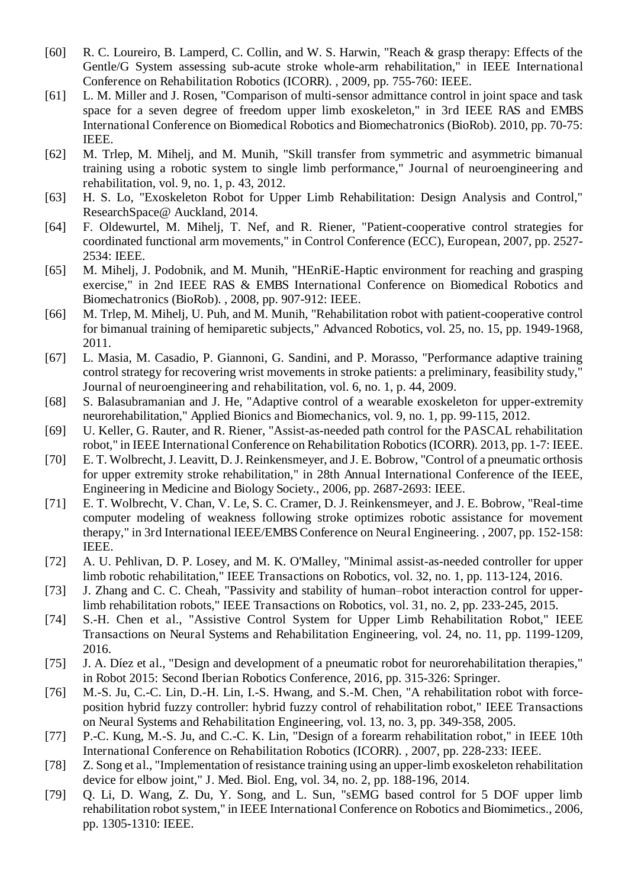- <span id="page-17-17"></span><span id="page-17-16"></span><span id="page-17-15"></span><span id="page-17-14"></span><span id="page-17-13"></span><span id="page-17-12"></span><span id="page-17-11"></span>[60] R. C. Loureiro, B. Lamperd, C. Collin, and W. S. Harwin, "Reach & grasp therapy: Effects of the Gentle/G System assessing sub-acute stroke whole-arm rehabilitation," in IEEE International Conference on Rehabilitation Robotics (ICORR). , 2009, pp. 755-760: IEEE.
- <span id="page-17-19"></span><span id="page-17-18"></span>[61] L. M. Miller and J. Rosen, "Comparison of multi-sensor admittance control in joint space and task space for a seven degree of freedom upper limb exoskeleton," in 3rd IEEE RAS and EMBS International Conference on Biomedical Robotics and Biomechatronics (BioRob). 2010, pp. 70-75: IEEE.
- <span id="page-17-20"></span><span id="page-17-1"></span>[62] M. Trlep, M. Mihelj, and M. Munih, "Skill transfer from symmetric and asymmetric bimanual training using a robotic system to single limb performance," Journal of neuroengineering and rehabilitation, vol. 9, no. 1, p. 43, 2012.
- <span id="page-17-21"></span><span id="page-17-2"></span>[63] H. S. Lo, "Exoskeleton Robot for Upper Limb Rehabilitation: Design Analysis and Control," ResearchSpace@ Auckland, 2014.
- <span id="page-17-7"></span><span id="page-17-3"></span>[64] F. Oldewurtel, M. Mihelj, T. Nef, and R. Riener, "Patient-cooperative control strategies for coordinated functional arm movements," in Control Conference (ECC), European, 2007, pp. 2527- 2534: IEEE.
- <span id="page-17-8"></span><span id="page-17-4"></span>[65] M. Mihelj, J. Podobnik, and M. Munih, "HEnRiE-Haptic environment for reaching and grasping exercise," in 2nd IEEE RAS & EMBS International Conference on Biomedical Robotics and Biomechatronics (BioRob). , 2008, pp. 907-912: IEEE.
- <span id="page-17-9"></span><span id="page-17-5"></span>[66] M. Trlep, M. Mihelj, U. Puh, and M. Munih, "Rehabilitation robot with patient-cooperative control for bimanual training of hemiparetic subjects," Advanced Robotics, vol. 25, no. 15, pp. 1949-1968, 2011.
- <span id="page-17-10"></span><span id="page-17-6"></span><span id="page-17-0"></span>[67] L. Masia, M. Casadio, P. Giannoni, G. Sandini, and P. Morasso, "Performance adaptive training control strategy for recovering wrist movements in stroke patients: a preliminary, feasibility study," Journal of neuroengineering and rehabilitation, vol. 6, no. 1, p. 44, 2009.
- [68] S. Balasubramanian and J. He, "Adaptive control of a wearable exoskeleton for upper-extremity neurorehabilitation," Applied Bionics and Biomechanics, vol. 9, no. 1, pp. 99-115, 2012.
- [69] U. Keller, G. Rauter, and R. Riener, "Assist-as-needed path control for the PASCAL rehabilitation robot," in IEEE International Conference on Rehabilitation Robotics (ICORR). 2013, pp. 1-7: IEEE.
- [70] E. T. Wolbrecht, J. Leavitt, D. J. Reinkensmeyer, and J. E. Bobrow, "Control of a pneumatic orthosis for upper extremity stroke rehabilitation," in 28th Annual International Conference of the IEEE, Engineering in Medicine and Biology Society., 2006, pp. 2687-2693: IEEE.
- [71] E. T. Wolbrecht, V. Chan, V. Le, S. C. Cramer, D. J. Reinkensmeyer, and J. E. Bobrow, "Real-time" computer modeling of weakness following stroke optimizes robotic assistance for movement therapy," in 3rd International IEEE/EMBS Conference on Neural Engineering. , 2007, pp. 152-158: IEEE.
- [72] A. U. Pehlivan, D. P. Losey, and M. K. O'Malley, "Minimal assist-as-needed controller for upper limb robotic rehabilitation," IEEE Transactions on Robotics, vol. 32, no. 1, pp. 113-124, 2016.
- [73] J. Zhang and C. C. Cheah, "Passivity and stability of human–robot interaction control for upperlimb rehabilitation robots," IEEE Transactions on Robotics, vol. 31, no. 2, pp. 233-245, 2015.
- [74] S.-H. Chen et al., "Assistive Control System for Upper Limb Rehabilitation Robot," IEEE Transactions on Neural Systems and Rehabilitation Engineering, vol. 24, no. 11, pp. 1199-1209, 2016.
- <span id="page-17-23"></span><span id="page-17-22"></span>[75] J. A. Díez et al., "Design and development of a pneumatic robot for neurorehabilitation therapies," in Robot 2015: Second Iberian Robotics Conference, 2016, pp. 315-326: Springer.
- [76] M.-S. Ju, C.-C. Lin, D.-H. Lin, I.-S. Hwang, and S.-M. Chen, "A rehabilitation robot with forceposition hybrid fuzzy controller: hybrid fuzzy control of rehabilitation robot," IEEE Transactions on Neural Systems and Rehabilitation Engineering, vol. 13, no. 3, pp. 349-358, 2005.
- [77] P.-C. Kung, M.-S. Ju, and C.-C. K. Lin, "Design of a forearm rehabilitation robot," in IEEE 10th International Conference on Rehabilitation Robotics (ICORR). , 2007, pp. 228-233: IEEE.
- [78] Z. Song et al., "Implementation of resistance training using an upper-limb exoskeleton rehabilitation device for elbow joint," J. Med. Biol. Eng, vol. 34, no. 2, pp. 188-196, 2014.
- [79] Q. Li, D. Wang, Z. Du, Y. Song, and L. Sun, "sEMG based control for 5 DOF upper limb rehabilitation robot system," in IEEE International Conference on Robotics and Biomimetics., 2006, pp. 1305-1310: IEEE.